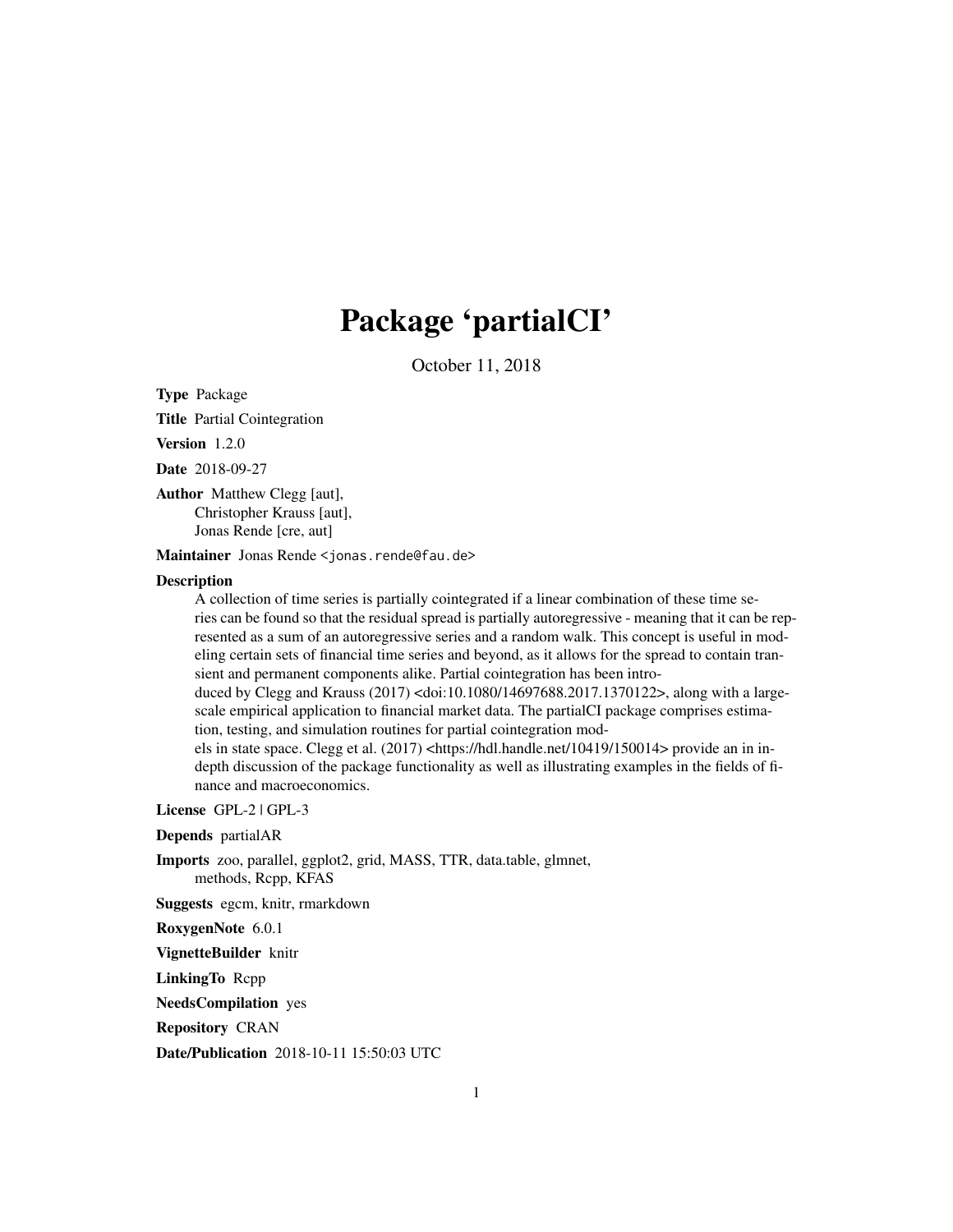## Package 'partialCI'

October 11, 2018

<span id="page-0-0"></span>Type Package

Title Partial Cointegration

Version 1.2.0

Date 2018-09-27

Author Matthew Clegg [aut], Christopher Krauss [aut], Jonas Rende [cre, aut]

Maintainer Jonas Rende <jonas.rende@fau.de>

#### **Description**

A collection of time series is partially cointegrated if a linear combination of these time series can be found so that the residual spread is partially autoregressive - meaning that it can be represented as a sum of an autoregressive series and a random walk. This concept is useful in modeling certain sets of financial time series and beyond, as it allows for the spread to contain transient and permanent components alike. Partial cointegration has been intro-

duced by Clegg and Krauss (2017) <doi:10.1080/14697688.2017.1370122>, along with a largescale empirical application to financial market data. The partialCI package comprises estimation, testing, and simulation routines for partial cointegration mod-

els in state space. Clegg et al. (2017) <https://hdl.handle.net/10419/150014> provide an in indepth discussion of the package functionality as well as illustrating examples in the fields of finance and macroeconomics.

License GPL-2 | GPL-3

Depends partialAR

Imports zoo, parallel, ggplot2, grid, MASS, TTR, data.table, glmnet, methods, Rcpp, KFAS

Suggests egcm, knitr, rmarkdown

RoxygenNote 6.0.1

VignetteBuilder knitr

LinkingTo Rcpp

NeedsCompilation yes

Repository CRAN

Date/Publication 2018-10-11 15:50:03 UTC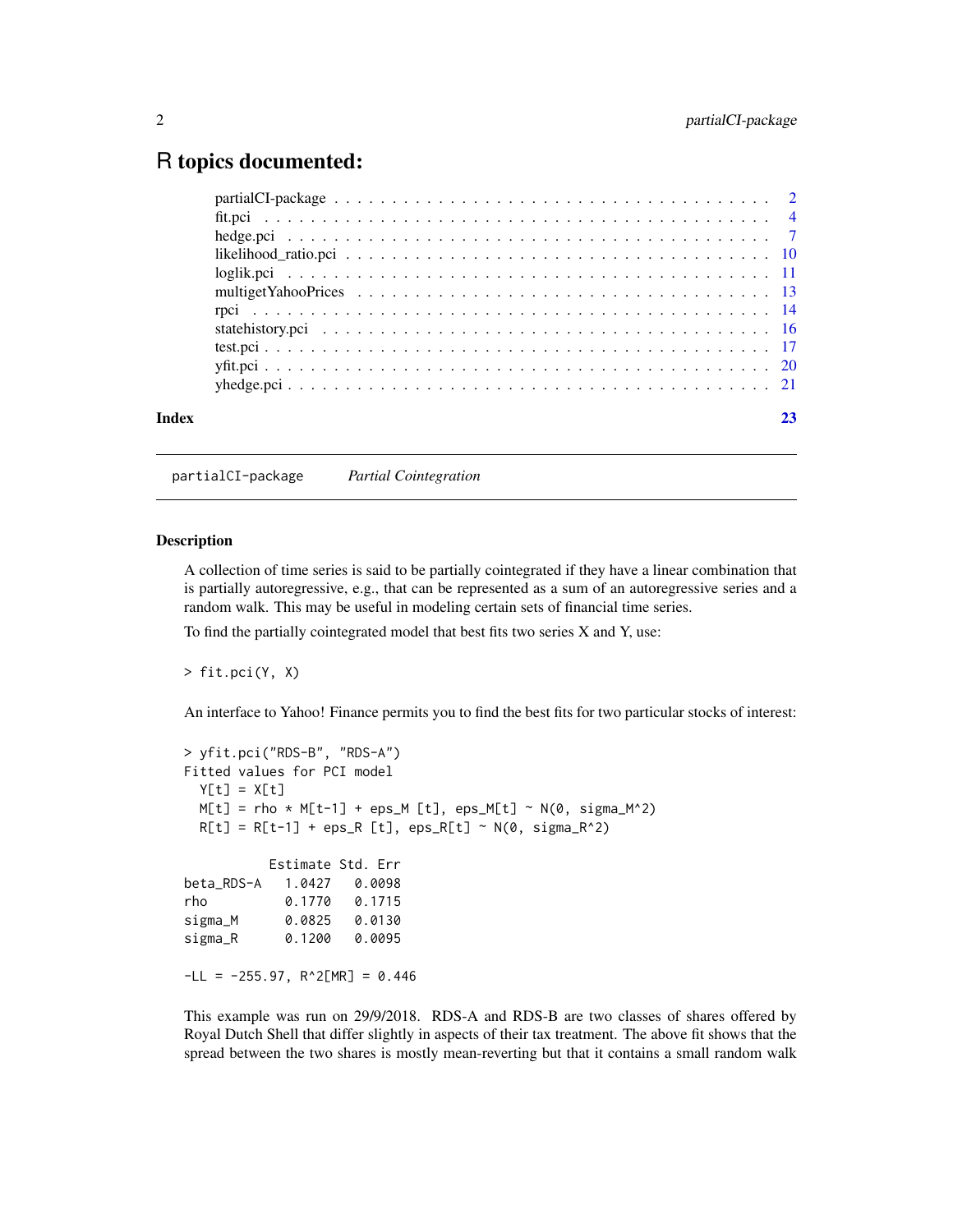## <span id="page-1-0"></span>R topics documented:

| Index | 23 |
|-------|----|
|       |    |
|       |    |
|       |    |
|       |    |
|       |    |
|       |    |
|       |    |
|       |    |
|       |    |
|       |    |
|       |    |

partialCI-package *Partial Cointegration*

#### **Description**

A collection of time series is said to be partially cointegrated if they have a linear combination that is partially autoregressive, e.g., that can be represented as a sum of an autoregressive series and a random walk. This may be useful in modeling certain sets of financial time series.

To find the partially cointegrated model that best fits two series X and Y, use:

> fit.pci(Y, X)

An interface to Yahoo! Finance permits you to find the best fits for two particular stocks of interest:

```
> yfit.pci("RDS-B", "RDS-A")
Fitted values for PCI model
 Y[t] = X[t]M[t] = rho * M[t-1] + eps_M[t], eps_M[t] ~ N(0, sigma_M^2)R[t] = R[t-1] + \text{eps}_R[t], \text{eps}_R[t] \sim N(\theta, \text{sigma}_R^2)Estimate Std. Err
beta_RDS-A 1.0427 0.0098
rho 0.1770 0.1715
sigma_M 0.0825 0.0130
sigma_R 0.1200 0.0095
-LL = -255.97, R^2[MR] = 0.446
```
This example was run on 29/9/2018. RDS-A and RDS-B are two classes of shares offered by Royal Dutch Shell that differ slightly in aspects of their tax treatment. The above fit shows that the spread between the two shares is mostly mean-reverting but that it contains a small random walk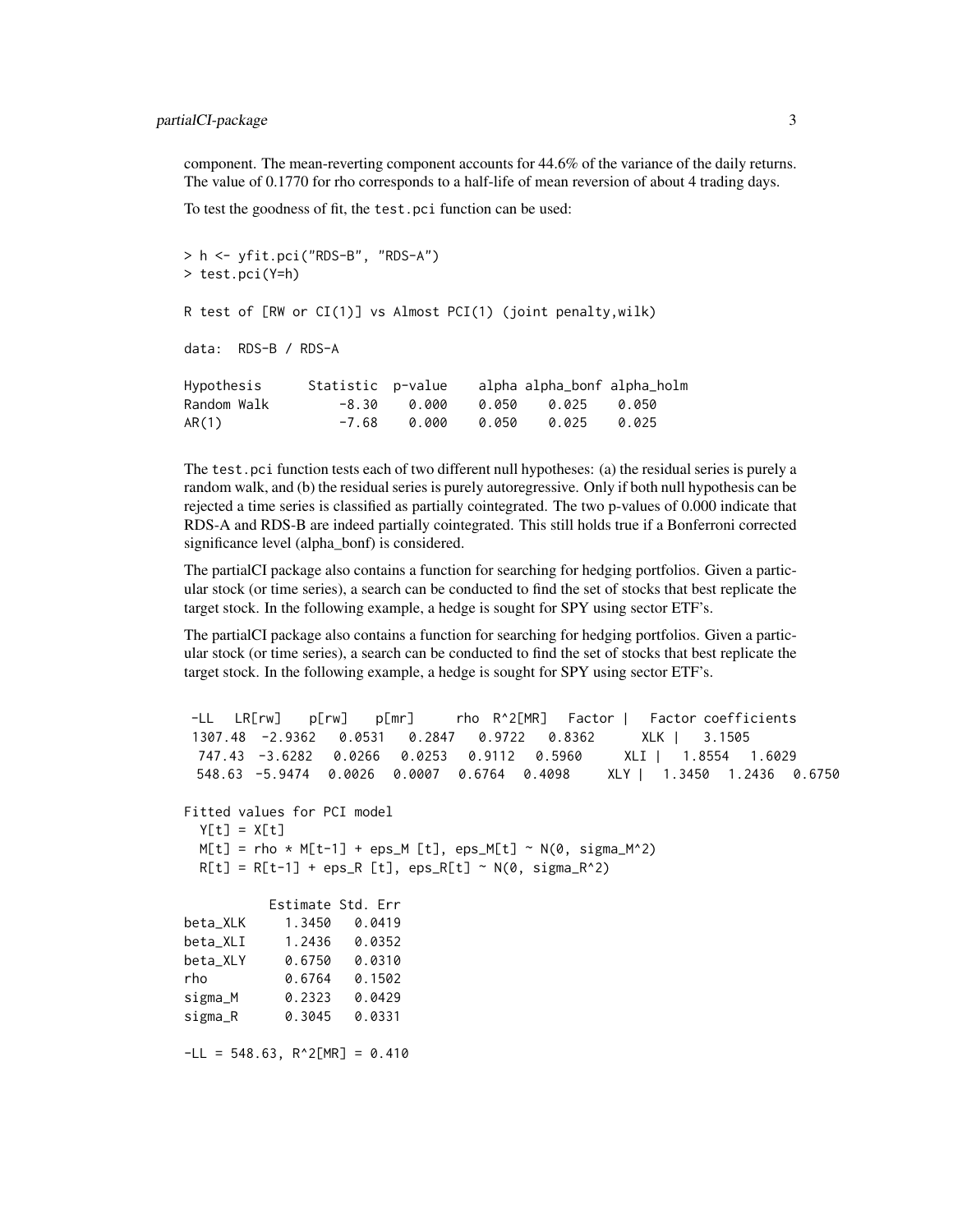component. The mean-reverting component accounts for 44.6% of the variance of the daily returns. The value of 0.1770 for rho corresponds to a half-life of mean reversion of about 4 trading days.

To test the goodness of fit, the test.pci function can be used:

```
> h <- yfit.pci("RDS-B", "RDS-A")
> test.pci(Y=h)
R test of [RW or CI(1)] vs Almost PCI(1) (joint penalty,wilk)
data: RDS-B / RDS-A
Hypothesis Statistic p-value alpha alpha_bonf alpha_holm
Random Walk -8.30 0.000 0.050 0.025 0.050
AR(1) -7.68 0.000 0.050 0.025 0.025
```
The test.pci function tests each of two different null hypotheses: (a) the residual series is purely a random walk, and (b) the residual series is purely autoregressive. Only if both null hypothesis can be rejected a time series is classified as partially cointegrated. The two p-values of 0.000 indicate that RDS-A and RDS-B are indeed partially cointegrated. This still holds true if a Bonferroni corrected significance level (alpha\_bonf) is considered.

The partialCI package also contains a function for searching for hedging portfolios. Given a particular stock (or time series), a search can be conducted to find the set of stocks that best replicate the target stock. In the following example, a hedge is sought for SPY using sector ETF's.

The partialCI package also contains a function for searching for hedging portfolios. Given a particular stock (or time series), a search can be conducted to find the set of stocks that best replicate the target stock. In the following example, a hedge is sought for SPY using sector ETF's.

```
-LL LR[rw] p[rw] p[mr] rho R^2[MR] Factor | Factor coefficients
1307.48 -2.9362 0.0531 0.2847 0.9722 0.8362 XLK | 3.1505
 747.43 -3.6282 0.0266 0.0253 0.9112 0.5960 XLI | 1.8554 1.6029
 548.63 -5.9474 0.0026 0.0007 0.6764 0.4098 XLY | 1.3450 1.2436 0.6750
Fitted values for PCI model
 Y[t] = X[t]M[t] = rho * M[t-1] + eps_M[t], ops_M[t] ~ N(0, sigma_M^2)R[t] = R[t-1] + \text{eps}_R[t], \text{eps}_R[t] \sim N(0, \text{sigma}_R^2)Estimate Std. Err
beta_XLK 1.3450 0.0419
beta_XLI 1.2436 0.0352
beta_XLY 0.6750 0.0310
rho 0.6764 0.1502
sigma_M 0.2323 0.0429
sigma_R 0.3045 0.0331
-LL = 548.63, R^2[MR] = 0.410
```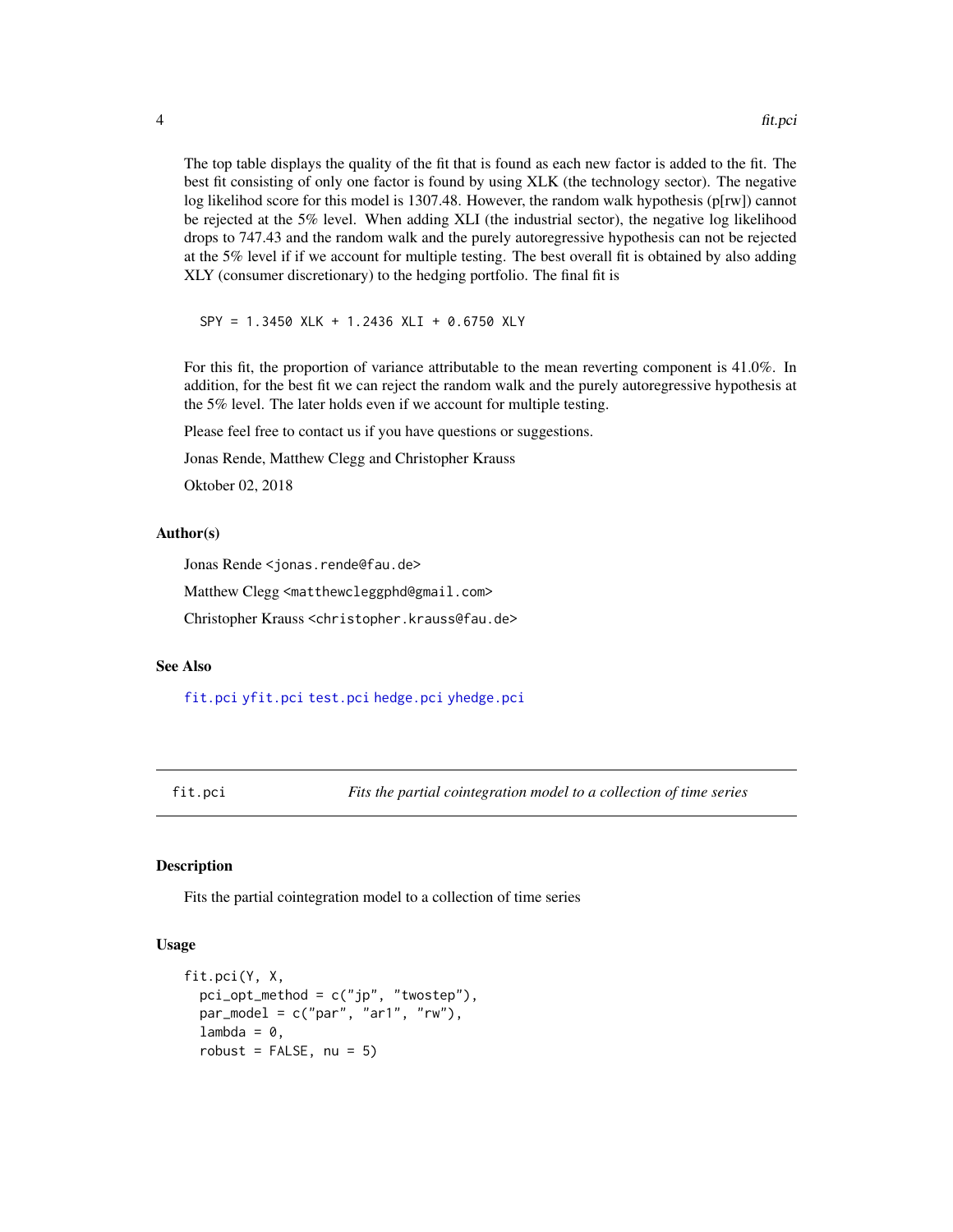<span id="page-3-0"></span>The top table displays the quality of the fit that is found as each new factor is added to the fit. The best fit consisting of only one factor is found by using XLK (the technology sector). The negative log likelihod score for this model is 1307.48. However, the random walk hypothesis ( $p[rw]$ ) cannot be rejected at the 5% level. When adding XLI (the industrial sector), the negative log likelihood drops to 747.43 and the random walk and the purely autoregressive hypothesis can not be rejected at the 5% level if if we account for multiple testing. The best overall fit is obtained by also adding XLY (consumer discretionary) to the hedging portfolio. The final fit is

SPY = 1.3450 XLK + 1.2436 XLI + 0.6750 XLY

For this fit, the proportion of variance attributable to the mean reverting component is 41.0%. In addition, for the best fit we can reject the random walk and the purely autoregressive hypothesis at the 5% level. The later holds even if we account for multiple testing.

Please feel free to contact us if you have questions or suggestions.

Jonas Rende, Matthew Clegg and Christopher Krauss

Oktober 02, 2018

#### Author(s)

Jonas Rende <jonas.rende@fau.de>

Matthew Clegg <matthewcleggphd@gmail.com>

Christopher Krauss <christopher.krauss@fau.de>

## See Also

[fit.pci](#page-3-1) [yfit.pci](#page-19-1) [test.pci](#page-16-1) [hedge.pci](#page-6-1) [yhedge.pci](#page-20-1)

<span id="page-3-1"></span>fit.pci *Fits the partial cointegration model to a collection of time series*

#### Description

Fits the partial cointegration model to a collection of time series

#### Usage

```
fit.pci(Y, X,
  pci\_opt\_method = c("jp", "twostep"),par_model = c("par", "ar1", "rw"),
  lambda = 0,
  robust = FALSE, nu = 5)
```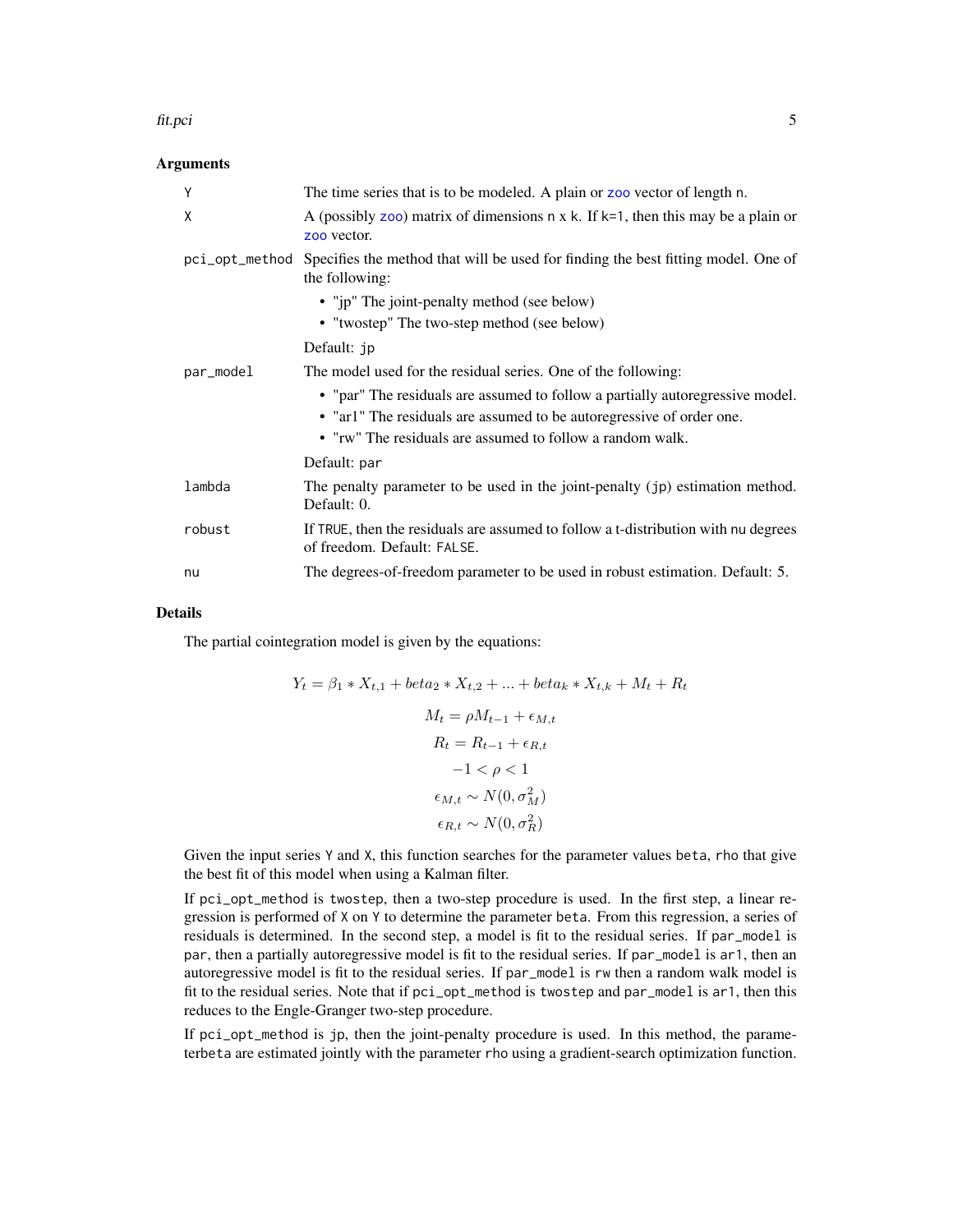#### <span id="page-4-0"></span>fit.pci 5

## **Arguments**

| Y              | The time series that is to be modeled. A plain or zoo vector of length n.                                                                                                                                          |
|----------------|--------------------------------------------------------------------------------------------------------------------------------------------------------------------------------------------------------------------|
| X              | A (possibly zoo) matrix of dimensions $n \times k$ . If $k=1$ , then this may be a plain or<br>zoo vector.                                                                                                         |
| pci_opt_method | Specifies the method that will be used for finding the best fitting model. One of<br>the following:                                                                                                                |
|                | • "jp" The joint-penalty method (see below)                                                                                                                                                                        |
|                | • "twostep" The two-step method (see below)                                                                                                                                                                        |
|                | Default: jp                                                                                                                                                                                                        |
| par_model      | The model used for the residual series. One of the following:                                                                                                                                                      |
|                | • "par" The residuals are assumed to follow a partially autoregressive model.<br>• "ar1" The residuals are assumed to be autoregressive of order one.<br>• "rw" The residuals are assumed to follow a random walk. |
|                | Default: par                                                                                                                                                                                                       |
| lambda         | The penalty parameter to be used in the joint-penalty (jp) estimation method.<br>Default: 0.                                                                                                                       |
| robust         | If TRUE, then the residuals are assumed to follow a t-distribution with nu degrees<br>of freedom. Default: FALSE.                                                                                                  |
| nu             | The degrees-of-freedom parameter to be used in robust estimation. Default: 5.                                                                                                                                      |

## Details

The partial cointegration model is given by the equations:

$$
Y_t = \beta_1 * X_{t,1} + beta_2 * X_{t,2} + \dots + beta_k * X_{t,k} + M_t + R_t
$$
  

$$
M_t = \rho M_{t-1} + \epsilon_{M,t}
$$
  

$$
R_t = R_{t-1} + \epsilon_{R,t}
$$
  

$$
-1 < \rho < 1
$$
  

$$
\epsilon_{M,t} \sim N(0, \sigma_M^2)
$$
  

$$
\epsilon_{R,t} \sim N(0, \sigma_R^2)
$$

Given the input series Y and X, this function searches for the parameter values beta, rho that give the best fit of this model when using a Kalman filter.

If pci\_opt\_method is twostep, then a two-step procedure is used. In the first step, a linear regression is performed of X on Y to determine the parameter beta. From this regression, a series of residuals is determined. In the second step, a model is fit to the residual series. If par\_model is par, then a partially autoregressive model is fit to the residual series. If par\_model is ar1, then an autoregressive model is fit to the residual series. If par\_model is rw then a random walk model is fit to the residual series. Note that if pci\_opt\_method is twostep and par\_model is ar1, then this reduces to the Engle-Granger two-step procedure.

If pci\_opt\_method is jp, then the joint-penalty procedure is used. In this method, the parameterbeta are estimated jointly with the parameter rho using a gradient-search optimization function.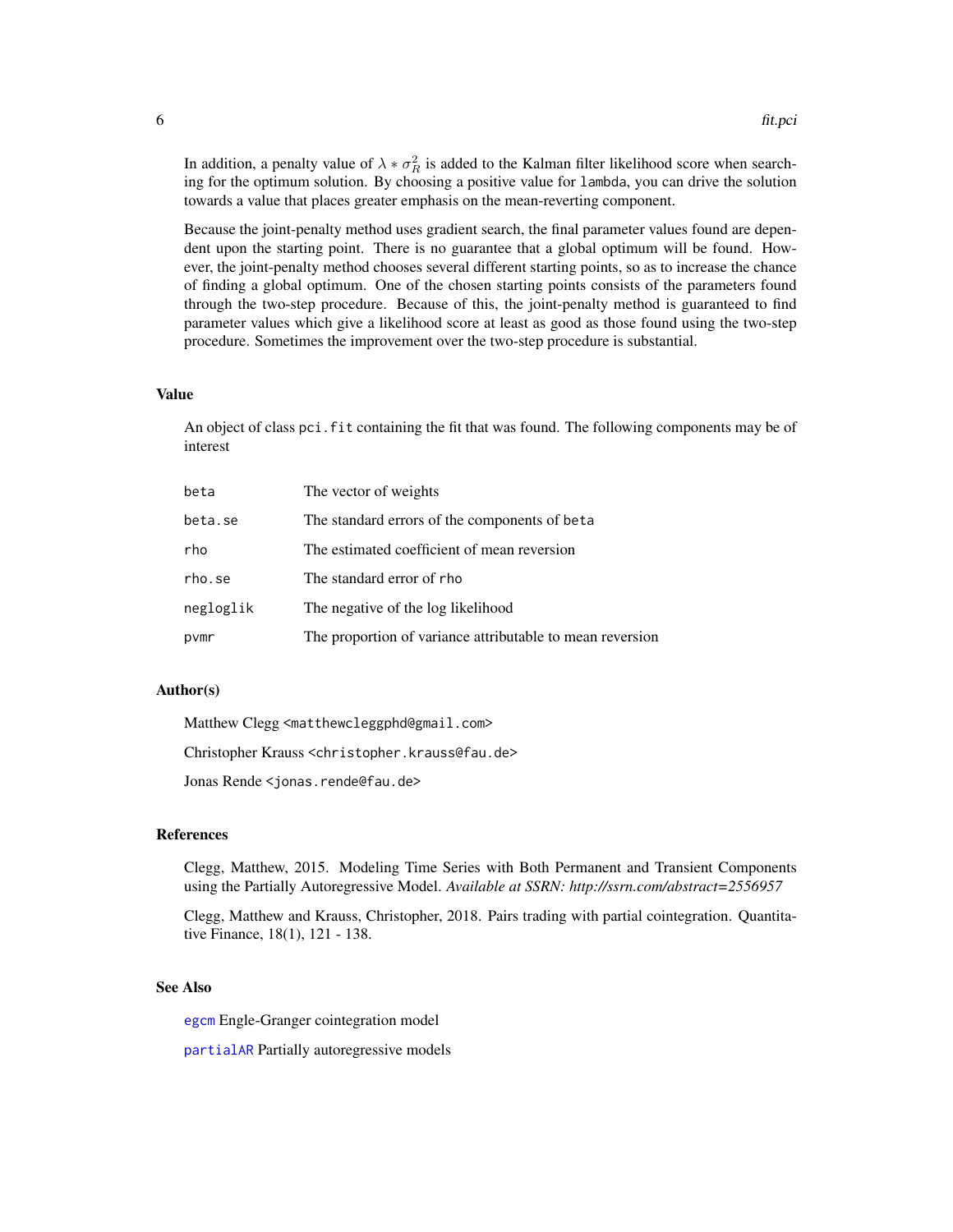<span id="page-5-0"></span>In addition, a penalty value of  $\lambda * \sigma_R^2$  is added to the Kalman filter likelihood score when searching for the optimum solution. By choosing a positive value for lambda, you can drive the solution towards a value that places greater emphasis on the mean-reverting component.

Because the joint-penalty method uses gradient search, the final parameter values found are dependent upon the starting point. There is no guarantee that a global optimum will be found. However, the joint-penalty method chooses several different starting points, so as to increase the chance of finding a global optimum. One of the chosen starting points consists of the parameters found through the two-step procedure. Because of this, the joint-penalty method is guaranteed to find parameter values which give a likelihood score at least as good as those found using the two-step procedure. Sometimes the improvement over the two-step procedure is substantial.

## Value

An object of class pci.fit containing the fit that was found. The following components may be of interest

| beta      | The vector of weights                                     |
|-----------|-----------------------------------------------------------|
| beta.se   | The standard errors of the components of beta             |
| rho       | The estimated coefficient of mean reversion               |
| rho.se    | The standard error of rho                                 |
| negloglik | The negative of the log likelihood                        |
| pvmr      | The proportion of variance attributable to mean reversion |

#### Author(s)

Matthew Clegg <matthewcleggphd@gmail.com>

Christopher Krauss <christopher.krauss@fau.de>

Jonas Rende <jonas.rende@fau.de>

#### References

Clegg, Matthew, 2015. Modeling Time Series with Both Permanent and Transient Components using the Partially Autoregressive Model. *Available at SSRN: http://ssrn.com/abstract=2556957*

Clegg, Matthew and Krauss, Christopher, 2018. Pairs trading with partial cointegration. Quantitative Finance, 18(1), 121 - 138.

#### See Also

[egcm](#page-0-0) Engle-Granger cointegration model

[partialAR](#page-0-0) Partially autoregressive models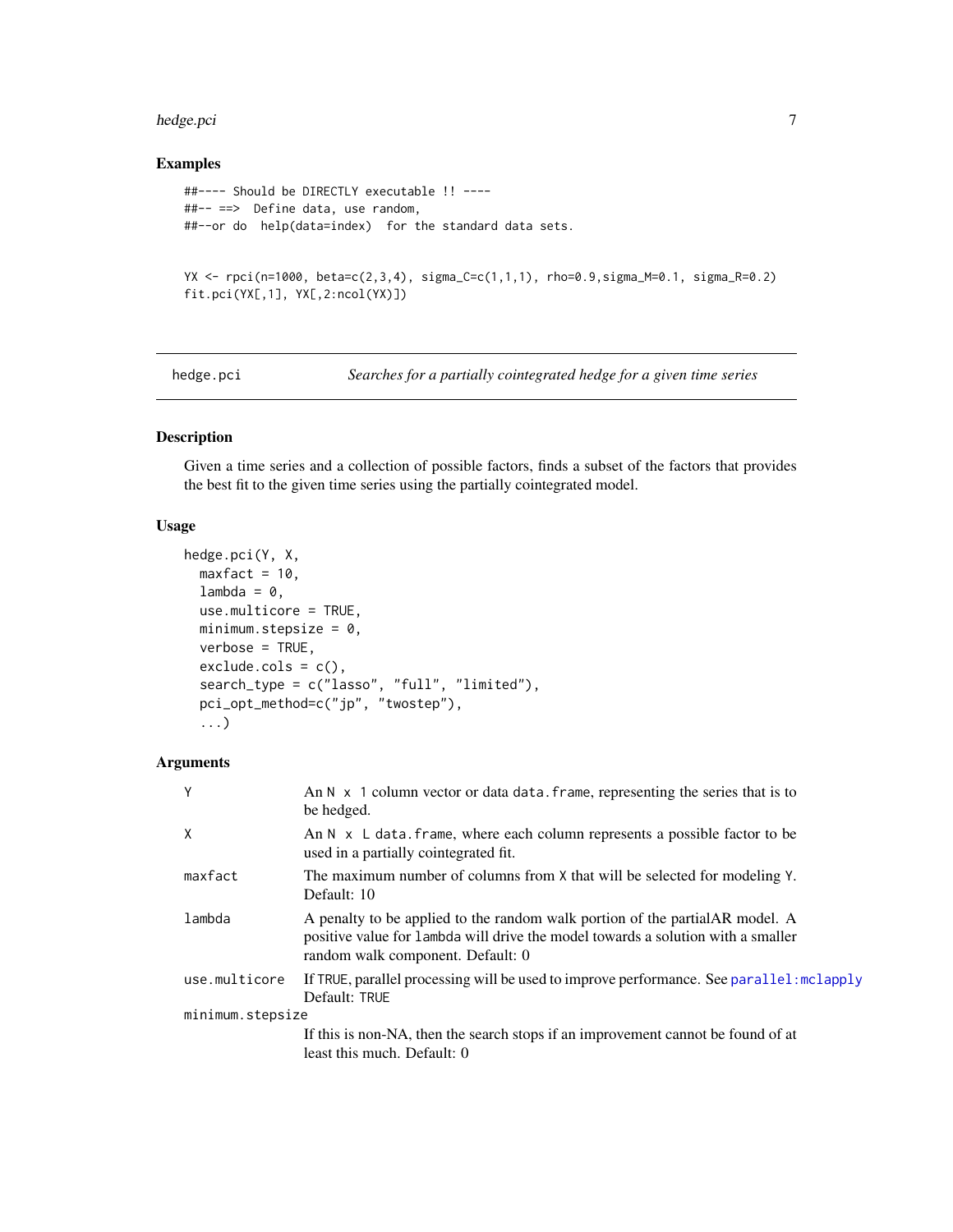#### <span id="page-6-0"></span>hedge.pci 7 and 2012 19:00 the set of the set of the set of the set of the set of the set of the set of the set of the set of the set of the set of the set of the set of the set of the set of the set of the set of the set

## Examples

```
##---- Should be DIRECTLY executable !! ----
##-- ==> Define data, use random,
##--or do help(data=index) for the standard data sets.
YX <- rpci(n=1000, beta=c(2,3,4), sigma_C=c(1,1,1), rho=0.9,sigma_M=0.1, sigma_R=0.2)
fit.pci(YX[,1], YX[,2:ncol(YX)])
```
<span id="page-6-1"></span>hedge.pci *Searches for a partially cointegrated hedge for a given time series*

## Description

Given a time series and a collection of possible factors, finds a subset of the factors that provides the best fit to the given time series using the partially cointegrated model.

#### Usage

```
hedge.pci(Y, X,
 maxfact = 10,
  lambda = 0,
 use.multicore = TRUE,
 minimum.stepsize = 0,
  verbose = TRUE,
  exclude.cols = c(),
  search_type = c("lasso", "full", "limited"),
  pci_opt_method=c("jp", "twostep"),
  ...)
```
## Arguments

| Y                | An $N \times 1$ column vector or data data. Frame, representing the series that is to<br>be hedged.                                                                                                    |
|------------------|--------------------------------------------------------------------------------------------------------------------------------------------------------------------------------------------------------|
| X                | An $N \times L$ data. frame, where each column represents a possible factor to be<br>used in a partially cointegrated fit.                                                                             |
| maxfact          | The maximum number of columns from X that will be selected for modeling Y.<br>Default: 10                                                                                                              |
| lambda           | A penalty to be applied to the random walk portion of the partial AR model. A<br>positive value for lambda will drive the model towards a solution with a smaller<br>random walk component. Default: 0 |
| use.multicore    | If TRUE, parallel processing will be used to improve performance. See parallel: mclapply<br>Default: TRUE                                                                                              |
| minimum.stepsize |                                                                                                                                                                                                        |
|                  | If this is non-NA, then the search stops if an improvement cannot be found of at<br>least this much. Default: 0                                                                                        |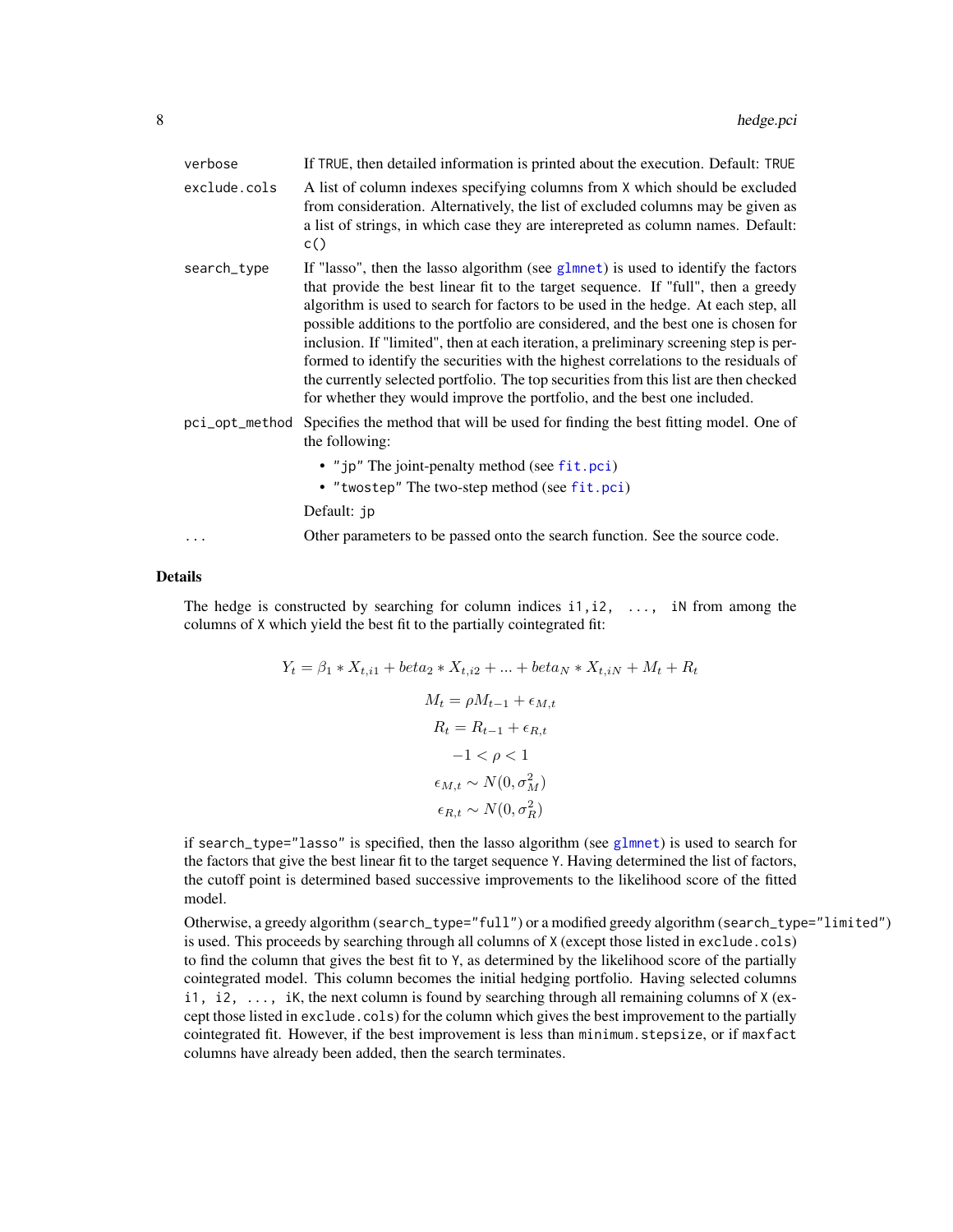<span id="page-7-0"></span>

| verbose        | If TRUE, then detailed information is printed about the execution. Default: TRUE                                                                                                                                                                                                                                                                                                                                                                                                                                                                                                                                                                                                                          |
|----------------|-----------------------------------------------------------------------------------------------------------------------------------------------------------------------------------------------------------------------------------------------------------------------------------------------------------------------------------------------------------------------------------------------------------------------------------------------------------------------------------------------------------------------------------------------------------------------------------------------------------------------------------------------------------------------------------------------------------|
| exclude.cols   | A list of column indexes specifying columns from X which should be excluded<br>from consideration. Alternatively, the list of excluded columns may be given as<br>a list of strings, in which case they are interepreted as column names. Default:<br>c()                                                                                                                                                                                                                                                                                                                                                                                                                                                 |
| search_type    | If "lasso", then the lasso algorithm (see $glmnet$ ) is used to identify the factors<br>that provide the best linear fit to the target sequence. If "full", then a greedy<br>algorithm is used to search for factors to be used in the hedge. At each step, all<br>possible additions to the portfolio are considered, and the best one is chosen for<br>inclusion. If "limited", then at each iteration, a preliminary screening step is per-<br>formed to identify the securities with the highest correlations to the residuals of<br>the currently selected portfolio. The top securities from this list are then checked<br>for whether they would improve the portfolio, and the best one included. |
| pci_opt_method | Specifies the method that will be used for finding the best fitting model. One of<br>the following:                                                                                                                                                                                                                                                                                                                                                                                                                                                                                                                                                                                                       |
|                | • "jp" The joint-penalty method (see fit.pci)                                                                                                                                                                                                                                                                                                                                                                                                                                                                                                                                                                                                                                                             |
|                | • "twostep" The two-step method (see fit.pci)                                                                                                                                                                                                                                                                                                                                                                                                                                                                                                                                                                                                                                                             |
|                | Default: jp                                                                                                                                                                                                                                                                                                                                                                                                                                                                                                                                                                                                                                                                                               |
| .              | Other parameters to be passed onto the search function. See the source code.                                                                                                                                                                                                                                                                                                                                                                                                                                                                                                                                                                                                                              |

#### Details

The hedge is constructed by searching for column indices  $i1$ ,  $i2$ , ..., iN from among the columns of X which yield the best fit to the partially cointegrated fit:

$$
Y_t = \beta_1 * X_{t,i1} + beta_2 * X_{t,i2} + \dots + beta_N * X_{t,iN} + M_t + R_t
$$
  
\n
$$
M_t = \rho M_{t-1} + \epsilon_{M,t}
$$
  
\n
$$
R_t = R_{t-1} + \epsilon_{R,t}
$$
  
\n
$$
-1 < \rho < 1
$$
  
\n
$$
\epsilon_{M,t} \sim N(0, \sigma_M^2)
$$
  
\n
$$
\epsilon_{R,t} \sim N(0, \sigma_R^2)
$$

if search\_type="lasso" is specified, then the lasso algorithm (see [glmnet](#page-0-0)) is used to search for the factors that give the best linear fit to the target sequence Y. Having determined the list of factors, the cutoff point is determined based successive improvements to the likelihood score of the fitted model.

Otherwise, a greedy algorithm (search\_type="full") or a modified greedy algorithm (search\_type="limited") is used. This proceeds by searching through all columns of X (except those listed in exclude.cols) to find the column that gives the best fit to Y, as determined by the likelihood score of the partially cointegrated model. This column becomes the initial hedging portfolio. Having selected columns  $i$ 1,  $i$ 2, ..., iK, the next column is found by searching through all remaining columns of X (except those listed in exclude.cols) for the column which gives the best improvement to the partially cointegrated fit. However, if the best improvement is less than minimum.stepsize, or if maxfact columns have already been added, then the search terminates.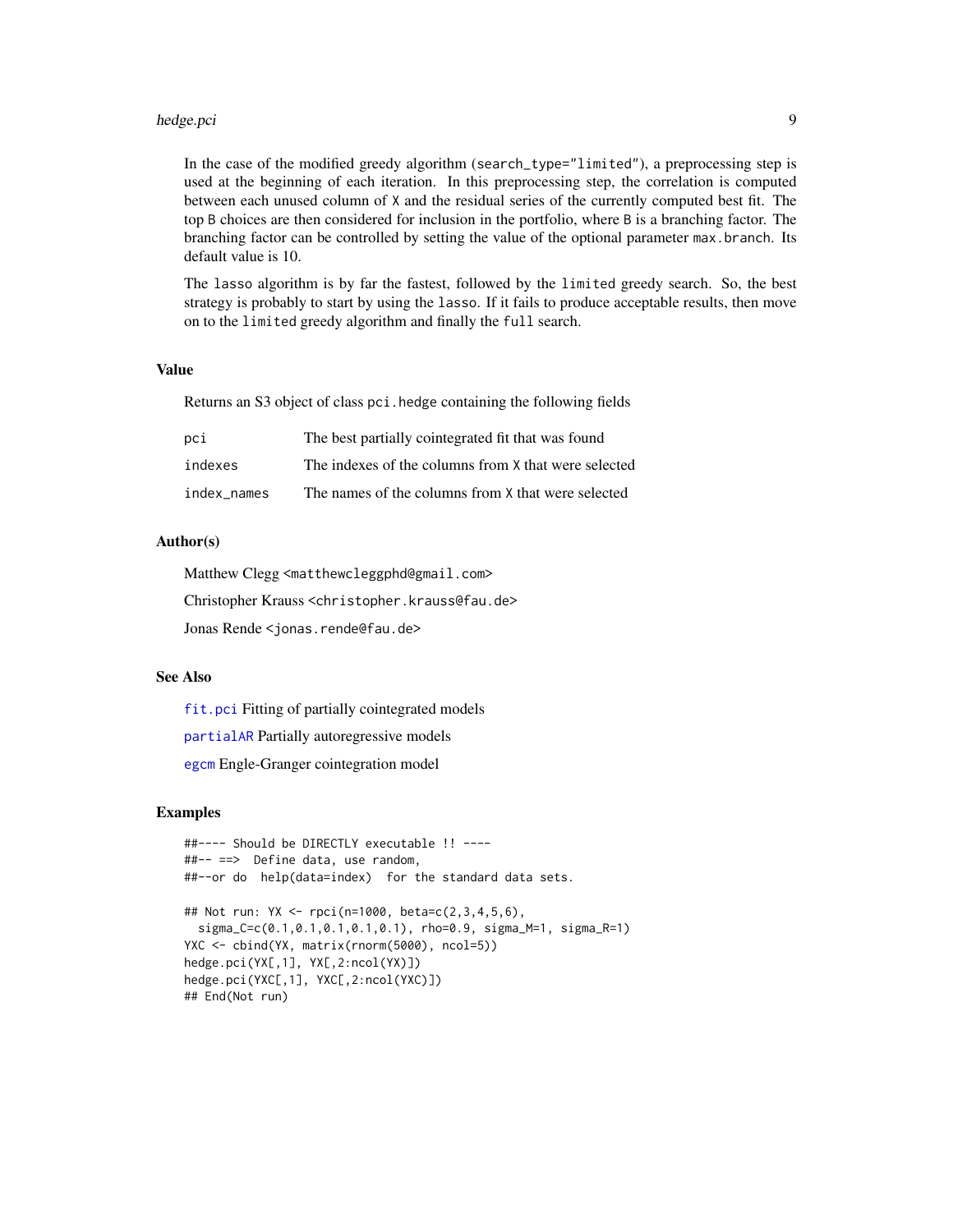#### <span id="page-8-0"></span>hedge.pci 9

In the case of the modified greedy algorithm (search\_type="limited"), a preprocessing step is used at the beginning of each iteration. In this preprocessing step, the correlation is computed between each unused column of X and the residual series of the currently computed best fit. The top B choices are then considered for inclusion in the portfolio, where B is a branching factor. The branching factor can be controlled by setting the value of the optional parameter max.branch. Its default value is 10.

The lasso algorithm is by far the fastest, followed by the limited greedy search. So, the best strategy is probably to start by using the lasso. If it fails to produce acceptable results, then move on to the limited greedy algorithm and finally the full search.

#### Value

Returns an S3 object of class pci.hedge containing the following fields

| pci         | The best partially cointegrated fit that was found   |
|-------------|------------------------------------------------------|
| indexes     | The indexes of the columns from X that were selected |
| index names | The names of the columns from X that were selected   |

## Author(s)

Matthew Clegg <matthewcleggphd@gmail.com>

Christopher Krauss <christopher.krauss@fau.de>

Jonas Rende <jonas.rende@fau.de>

#### See Also

[fit.pci](#page-3-1) Fitting of partially cointegrated models

[partialAR](#page-0-0) Partially autoregressive models

[egcm](#page-0-0) Engle-Granger cointegration model

#### Examples

```
##---- Should be DIRECTLY executable !! ----
##-- ==> Define data, use random,
##--or do help(data=index) for the standard data sets.
## Not run: YX <- rpci(n=1000, beta=c(2,3,4,5,6),
 sigma_C=c(0.1,0.1,0.1,0.1,0.1), rho=0.9, sigma_M=1, sigma_R=1)
YXC <- cbind(YX, matrix(rnorm(5000), ncol=5))
hedge.pci(YX[,1], YX[,2:ncol(YX)])
hedge.pci(YXC[,1], YXC[,2:ncol(YXC)])
## End(Not run)
```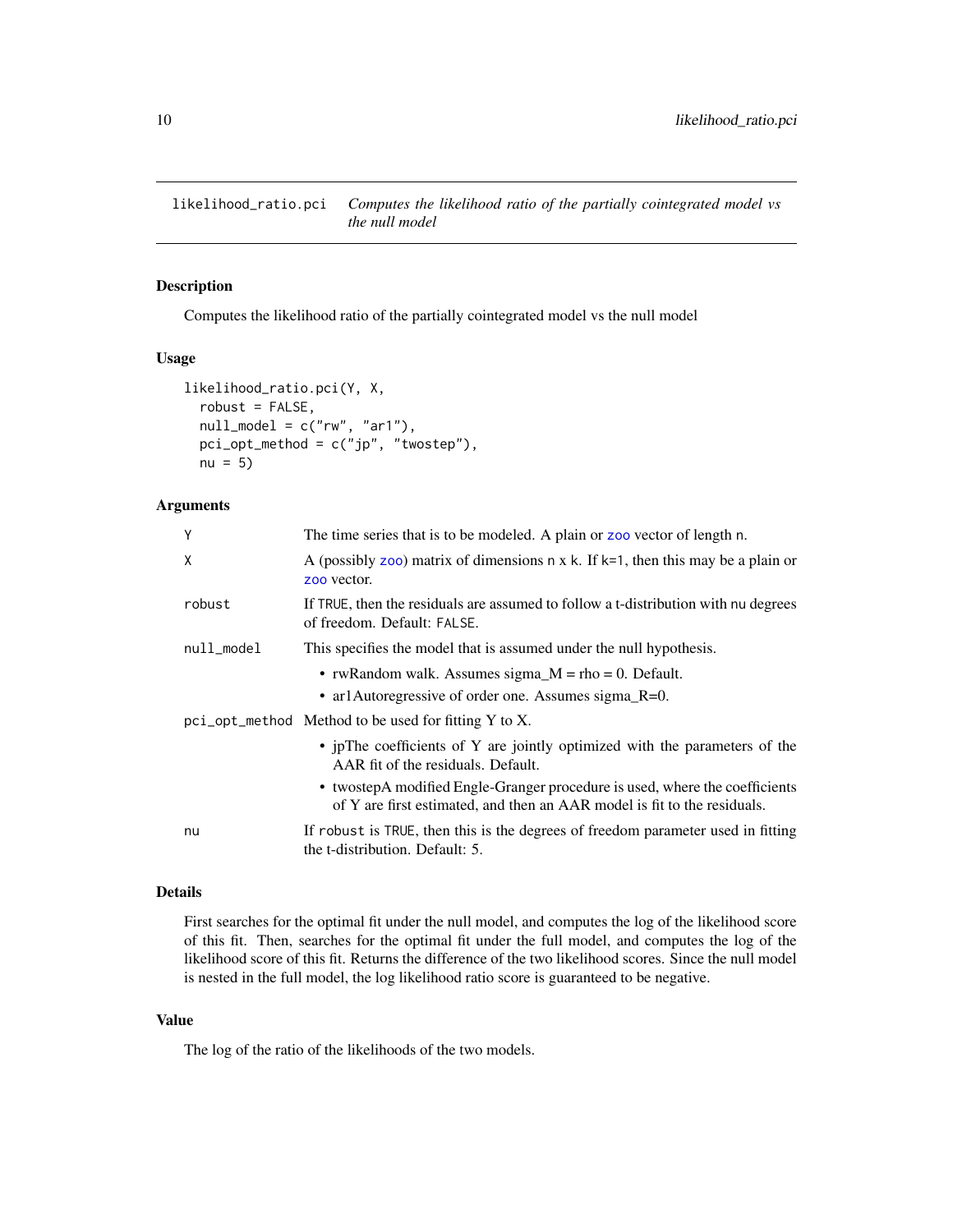<span id="page-9-1"></span><span id="page-9-0"></span>likelihood\_ratio.pci *Computes the likelihood ratio of the partially cointegrated model vs the null model*

## Description

Computes the likelihood ratio of the partially cointegrated model vs the null model

## Usage

```
likelihood_ratio.pci(Y, X,
  robust = FALSE,null_model = c("rw", "ar1"),
 pci_opt_method = c("jp", "twostep"),
 nu = 5
```
## Arguments

| Y          | The time series that is to be modeled. A plain or zoo vector of length n.                                                                                 |
|------------|-----------------------------------------------------------------------------------------------------------------------------------------------------------|
| X          | A (possibly zoo) matrix of dimensions $n \times k$ . If $k=1$ , then this may be a plain or<br>zoo vector.                                                |
| robust     | If TRUE, then the residuals are assumed to follow a t-distribution with nu degrees<br>of freedom. Default: FALSE.                                         |
| null_model | This specifies the model that is assumed under the null hypothesis.                                                                                       |
|            | • rwRandom walk. Assumes sigma_M = $rho = 0$ . Default.                                                                                                   |
|            | • ar1Autoregressive of order one. Assumes sigma_R=0.                                                                                                      |
|            | $pci$ opt method Method to be used for fitting Y to X.                                                                                                    |
|            | • ipThe coefficients of Y are jointly optimized with the parameters of the<br>AAR fit of the residuals. Default.                                          |
|            | • two step A modified Engle-Granger procedure is used, where the coefficients<br>of Y are first estimated, and then an AAR model is fit to the residuals. |
| nu         | If robust is TRUE, then this is the degrees of freedom parameter used in fitting<br>the t-distribution. Default: 5.                                       |

#### Details

First searches for the optimal fit under the null model, and computes the log of the likelihood score of this fit. Then, searches for the optimal fit under the full model, and computes the log of the likelihood score of this fit. Returns the difference of the two likelihood scores. Since the null model is nested in the full model, the log likelihood ratio score is guaranteed to be negative.

## Value

The log of the ratio of the likelihoods of the two models.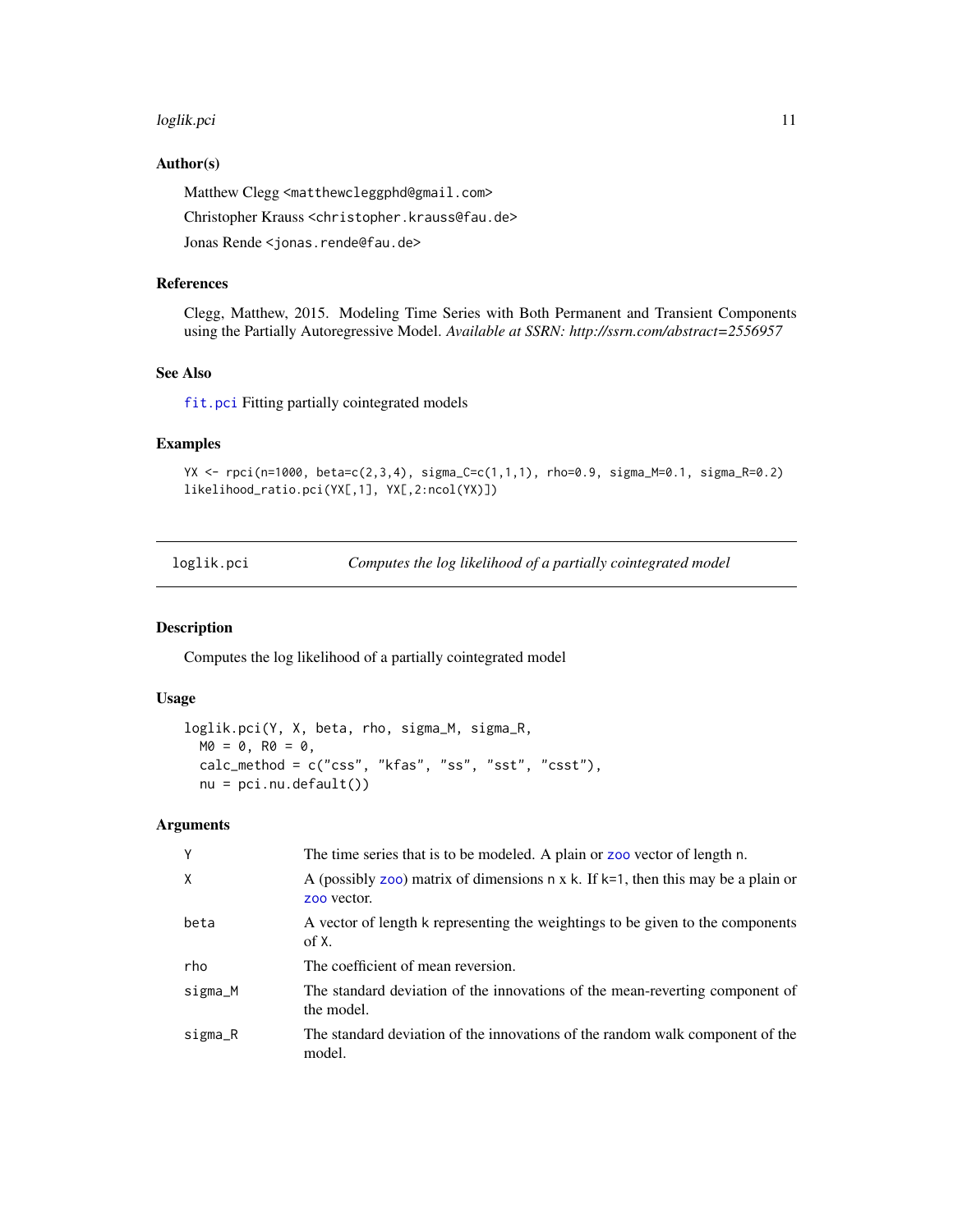#### <span id="page-10-0"></span>loglik.pci 11

## Author(s)

Matthew Clegg <matthewcleggphd@gmail.com>

Christopher Krauss <christopher.krauss@fau.de>

Jonas Rende <jonas.rende@fau.de>

## References

Clegg, Matthew, 2015. Modeling Time Series with Both Permanent and Transient Components using the Partially Autoregressive Model. *Available at SSRN: http://ssrn.com/abstract=2556957*

#### See Also

[fit.pci](#page-3-1) Fitting partially cointegrated models

## Examples

```
YX <- rpci(n=1000, beta=c(2,3,4), sigma_C=c(1,1,1), rho=0.9, sigma_M=0.1, sigma_R=0.2)
likelihood_ratio.pci(YX[,1], YX[,2:ncol(YX)])
```
loglik.pci *Computes the log likelihood of a partially cointegrated model*

## Description

Computes the log likelihood of a partially cointegrated model

## Usage

```
loglik.pci(Y, X, beta, rho, sigma_M, sigma_R,
 MO = 0, RO = 0,
 calc_method = c("css", "kfas", "ss", "sst", "csst"),
 nu = pci.nu.default()
```
## Arguments

| Y        | The time series that is to be modeled. A plain or zoo vector of length n.                                  |
|----------|------------------------------------------------------------------------------------------------------------|
| $\times$ | A (possibly zoo) matrix of dimensions $n \times k$ . If $k=1$ , then this may be a plain or<br>zoo vector. |
| beta     | A vector of length k representing the weightings to be given to the components<br>of X.                    |
| rho      | The coefficient of mean reversion.                                                                         |
| sigma_M  | The standard deviation of the innovations of the mean-reverting component of<br>the model.                 |
| sigma_R  | The standard deviation of the innovations of the random walk component of the<br>model.                    |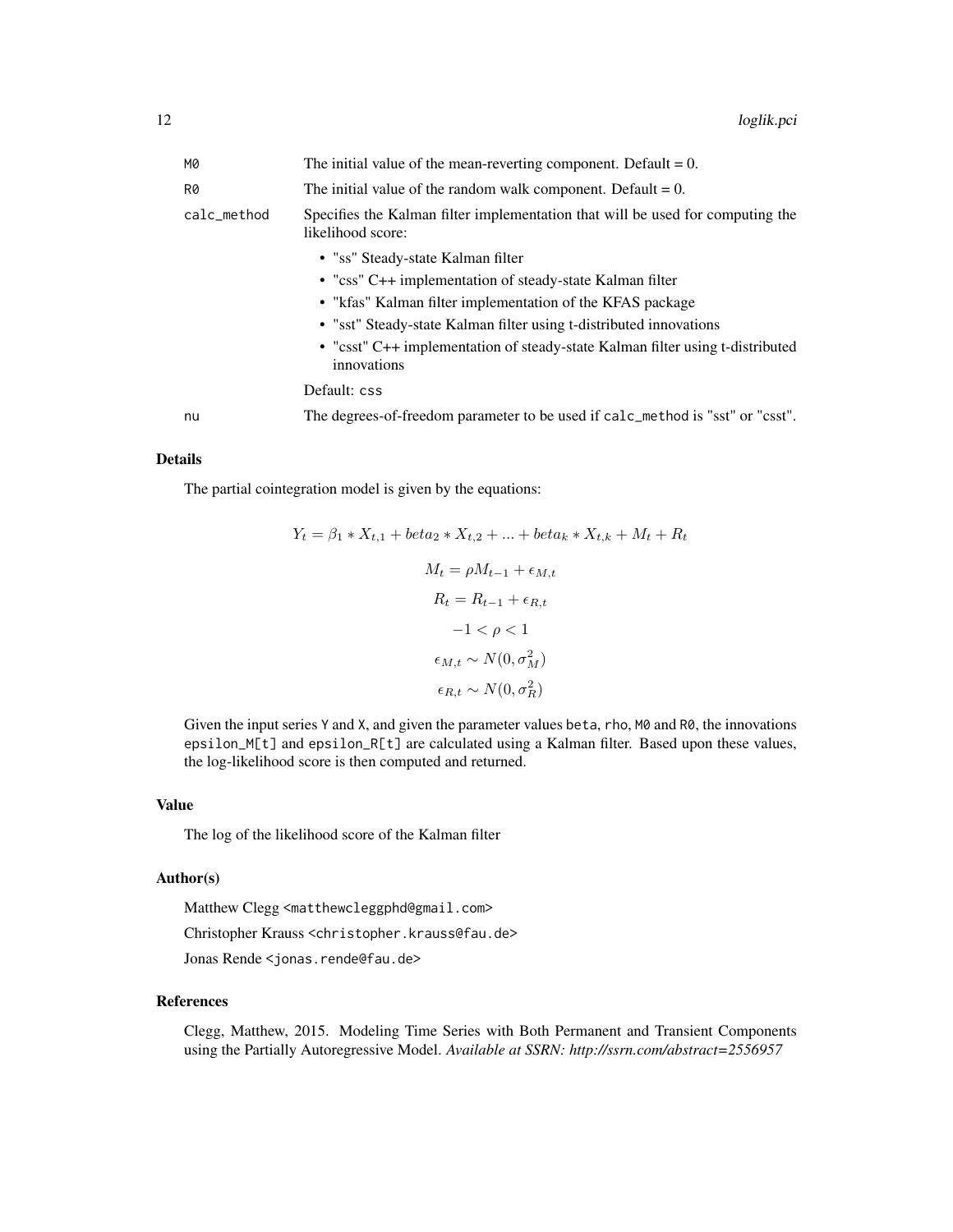| <b>M0</b>   | The initial value of the mean-reverting component. Default $= 0$ .                                  |
|-------------|-----------------------------------------------------------------------------------------------------|
| R0          | The initial value of the random walk component. Default = $0$ .                                     |
| calc_method | Specifies the Kalman filter implementation that will be used for computing the<br>likelihood score: |
|             | • "ss" Steady-state Kalman filter                                                                   |
|             | • "css" C++ implementation of steady-state Kalman filter                                            |
|             | • "kfas" Kalman filter implementation of the KFAS package                                           |
|             | • "sst" Steady-state Kalman filter using t-distributed innovations                                  |
|             | • "csst" C++ implementation of steady-state Kalman filter using t-distributed<br>innovations        |
|             | Default: css                                                                                        |
| nu          | The degrees-of-freedom parameter to be used if calc_method is "sst" or "csst".                      |

#### Details

The partial cointegration model is given by the equations:

$$
Y_t = \beta_1 * X_{t,1} + beta_2 * X_{t,2} + \dots + beta_k * X_{t,k} + M_t + R_t
$$
  

$$
M_t = \rho M_{t-1} + \epsilon_{M,t}
$$
  

$$
R_t = R_{t-1} + \epsilon_{R,t}
$$
  

$$
-1 < \rho < 1
$$
  

$$
\epsilon_{M,t} \sim N(0, \sigma_M^2)
$$
  

$$
\epsilon_{R,t} \sim N(0, \sigma_R^2)
$$

Given the input series Y and X, and given the parameter values beta, rho,  $M0$  and  $R0$ , the innovations epsilon\_M[t] and epsilon\_R[t] are calculated using a Kalman filter. Based upon these values, the log-likelihood score is then computed and returned.

## Value

The log of the likelihood score of the Kalman filter

#### Author(s)

Matthew Clegg <matthewcleggphd@gmail.com>

Christopher Krauss <christopher.krauss@fau.de>

Jonas Rende <jonas.rende@fau.de>

## References

Clegg, Matthew, 2015. Modeling Time Series with Both Permanent and Transient Components using the Partially Autoregressive Model. *Available at SSRN: http://ssrn.com/abstract=2556957*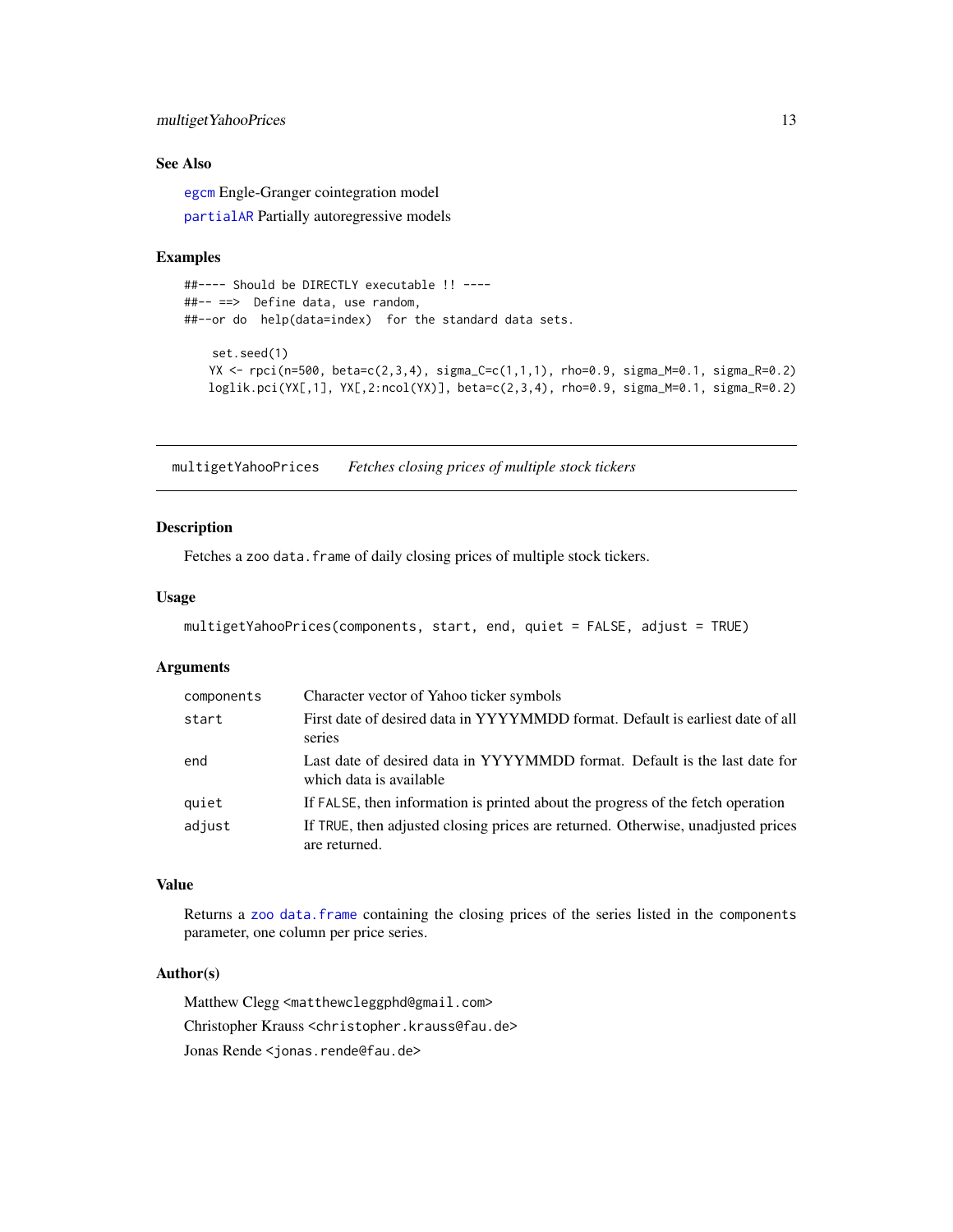## <span id="page-12-0"></span>multiget YahooPrices 13

## See Also

[egcm](#page-0-0) Engle-Granger cointegration model

[partialAR](#page-0-0) Partially autoregressive models

#### Examples

```
##---- Should be DIRECTLY executable !! ----
##-- ==> Define data, use random,
##--or do help(data=index) for the standard data sets.
   set.seed(1)
   YX <- rpci(n=500, beta=c(2,3,4), sigma_C=c(1,1,1), rho=0.9, sigma_M=0.1, sigma_R=0.2)
   loglik.pci(YX[,1], YX[,2:ncol(YX)], beta=c(2,3,4), rho=0.9, sigma_M=0.1, sigma_R=0.2)
```
multigetYahooPrices *Fetches closing prices of multiple stock tickers*

## Description

Fetches a zoo data. frame of daily closing prices of multiple stock tickers.

## Usage

```
multigetYahooPrices(components, start, end, quiet = FALSE, adjust = TRUE)
```
## Arguments

| components | Character vector of Yahoo ticker symbols                                                              |
|------------|-------------------------------------------------------------------------------------------------------|
| start      | First date of desired data in YYYYMMDD format. Default is earliest date of all<br>series              |
| end        | Last date of desired data in YYYYMMDD format. Default is the last date for<br>which data is available |
| quiet      | If FALSE, then information is printed about the progress of the fetch operation                       |
| adjust     | If TRUE, then adjusted closing prices are returned. Otherwise, unadjusted prices<br>are returned.     |

## Value

Returns a [zoo](#page-0-0) [data.frame](#page-0-0) containing the closing prices of the series listed in the components parameter, one column per price series.

## Author(s)

Matthew Clegg <matthewcleggphd@gmail.com> Christopher Krauss <christopher.krauss@fau.de> Jonas Rende <jonas.rende@fau.de>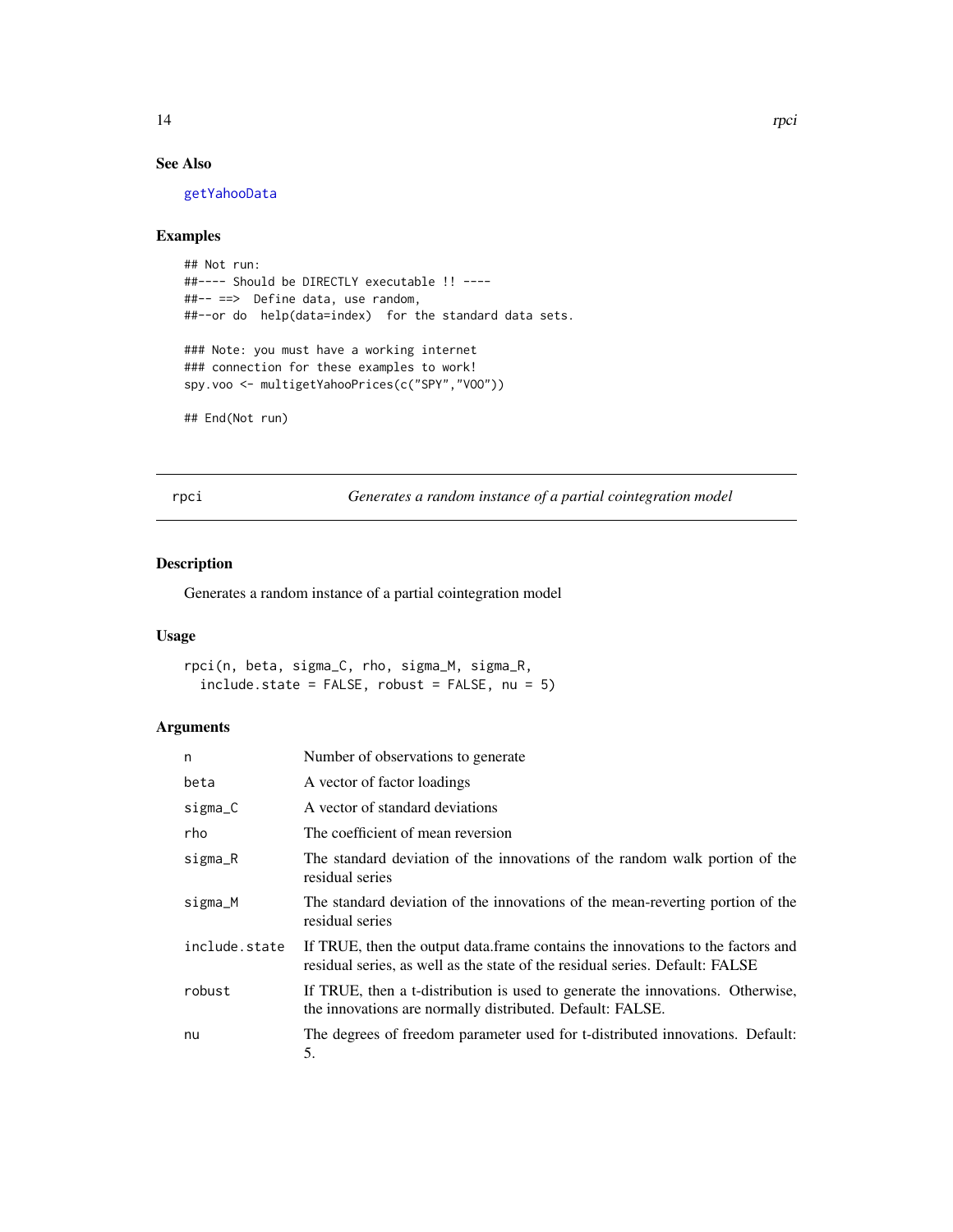## <span id="page-13-0"></span>See Also

[getYahooData](#page-0-0)

## Examples

```
## Not run:
##---- Should be DIRECTLY executable !! ----
##-- ==> Define data, use random,
##--or do help(data=index) for the standard data sets.
### Note: you must have a working internet
### connection for these examples to work!
```

```
spy.voo <- multigetYahooPrices(c("SPY","VOO"))
```

```
## End(Not run)
```
rpci *Generates a random instance of a partial cointegration model*

## Description

Generates a random instance of a partial cointegration model

## Usage

```
rpci(n, beta, sigma_C, rho, sigma_M, sigma_R,
  include. state = FALSE, robust = FALSE, nu = 5)
```
## Arguments

| n             | Number of observations to generate                                                                                                                               |
|---------------|------------------------------------------------------------------------------------------------------------------------------------------------------------------|
| beta          | A vector of factor loadings                                                                                                                                      |
| sigma_C       | A vector of standard deviations                                                                                                                                  |
| rho           | The coefficient of mean reversion                                                                                                                                |
| sigma_R       | The standard deviation of the innovations of the random walk portion of the<br>residual series                                                                   |
| sigma_M       | The standard deviation of the innovations of the mean-reverting portion of the<br>residual series                                                                |
| include.state | If TRUE, then the output data. frame contains the innovations to the factors and<br>residual series, as well as the state of the residual series. Default: FALSE |
| robust        | If TRUE, then a t-distribution is used to generate the innovations. Otherwise,<br>the innovations are normally distributed. Default: FALSE.                      |
| nu            | The degrees of freedom parameter used for t-distributed innovations. Default:<br>5.                                                                              |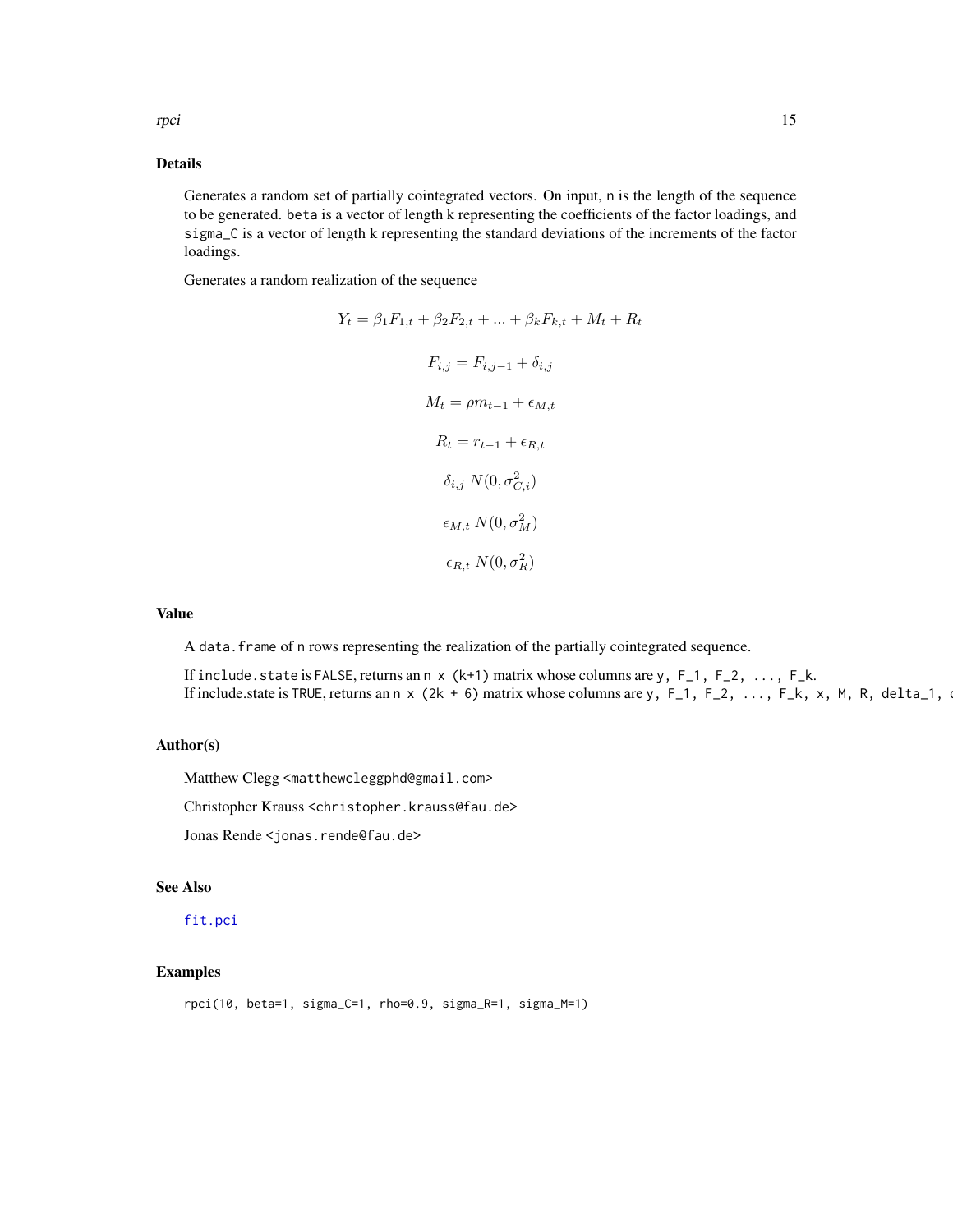## <span id="page-14-0"></span>Details

Generates a random set of partially cointegrated vectors. On input, n is the length of the sequence to be generated. beta is a vector of length k representing the coefficients of the factor loadings, and sigma\_C is a vector of length k representing the standard deviations of the increments of the factor loadings.

Generates a random realization of the sequence

$$
Y_t = \beta_1 F_{1,t} + \beta_2 F_{2,t} + \dots + \beta_k F_{k,t} + M_t + R_t
$$

$$
F_{i,j} = F_{i,j-1} + \delta_{i,j}
$$

$$
M_t = \rho m_{t-1} + \epsilon_{M,t}
$$

$$
R_t = r_{t-1} + \epsilon_{R,t}
$$

$$
\delta_{i,j} N(0, \sigma_{C,i}^2)
$$

$$
\epsilon_{M,t} N(0, \sigma_R^2)
$$

$$
\epsilon_{R,t} N(0, \sigma_R^2)
$$

## Value

A data.frame of n rows representing the realization of the partially cointegrated sequence.

If include. state is FALSE, returns an  $n \times (k+1)$  matrix whose columns are  $y$ ,  $F_1$ ,  $F_2$ , ...,  $F_k$ . If include.state is TRUE, returns an n x (2k + 6) matrix whose columns are y, F<sub>1</sub>, F<sub>2</sub>, ..., F<sub>k</sub>, x, M, R, delta<sub>-1</sub>,

## Author(s)

Matthew Clegg <matthewcleggphd@gmail.com>

Christopher Krauss <christopher.krauss@fau.de>

Jonas Rende <jonas.rende@fau.de>

#### See Also

#### [fit.pci](#page-3-1)

## Examples

rpci(10, beta=1, sigma\_C=1, rho=0.9, sigma\_R=1, sigma\_M=1)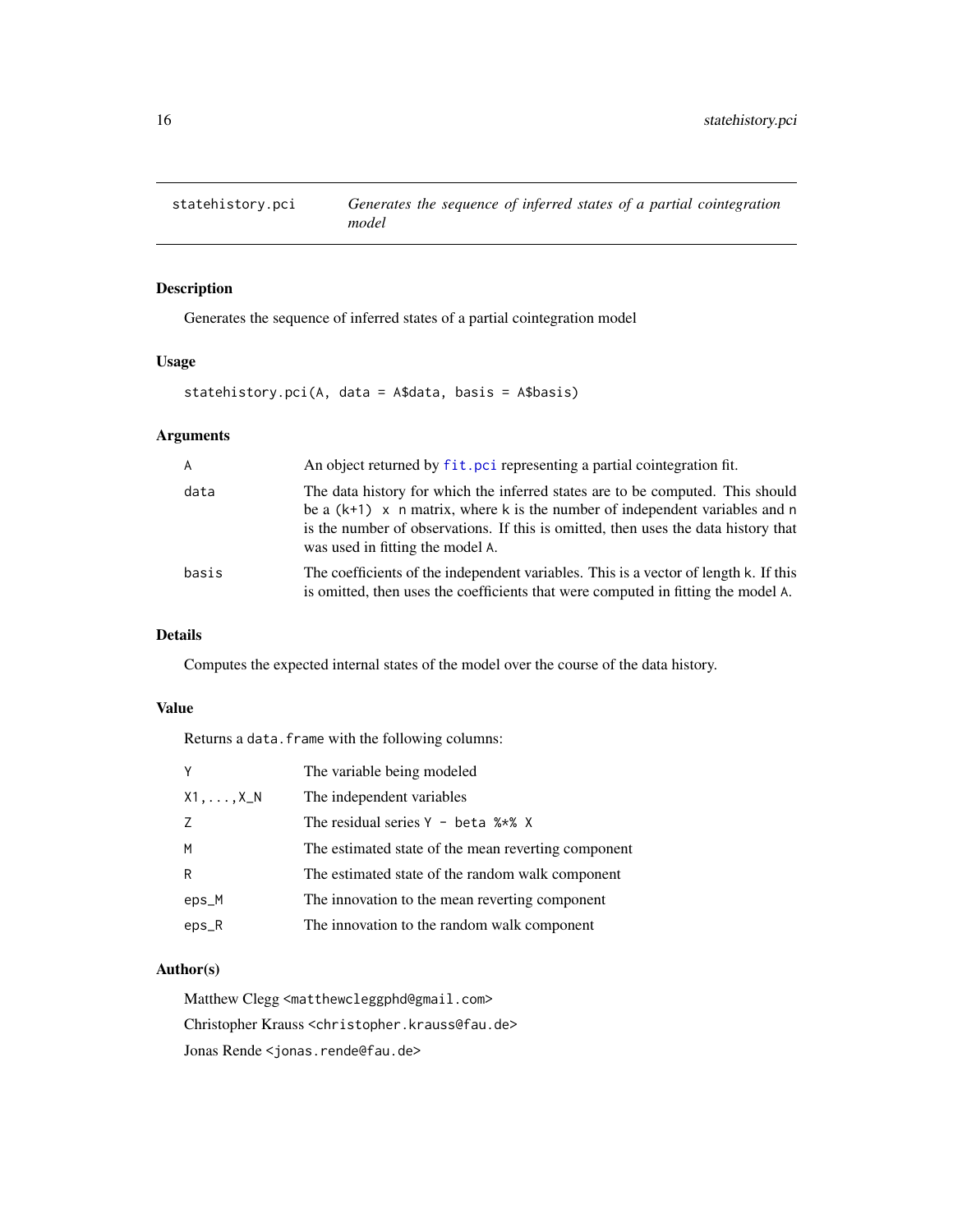<span id="page-15-0"></span>

## Description

Generates the sequence of inferred states of a partial cointegration model

## Usage

statehistory.pci(A, data = A\$data, basis = A\$basis)

## Arguments

| A     | An object returned by fit. pci representing a partial cointegration fit.                                                                                                                                                                                                                  |
|-------|-------------------------------------------------------------------------------------------------------------------------------------------------------------------------------------------------------------------------------------------------------------------------------------------|
| data  | The data history for which the inferred states are to be computed. This should<br>be a $(k+1)$ x n matrix, where k is the number of independent variables and n<br>is the number of observations. If this is omitted, then uses the data history that<br>was used in fitting the model A. |
| basis | The coefficients of the independent variables. This is a vector of length k. If this<br>is omitted, then uses the coefficients that were computed in fitting the model A.                                                                                                                 |

## Details

Computes the expected internal states of the model over the course of the data history.

## Value

Returns a data. frame with the following columns:

| Y                 | The variable being modeled                          |
|-------------------|-----------------------------------------------------|
| $X1, \ldots, X_N$ | The independent variables                           |
| 7                 | The residual series $Y - \beta + \gamma$ $\gamma$ x |
| M                 | The estimated state of the mean reverting component |
| R                 | The estimated state of the random walk component    |
| eps_M             | The innovation to the mean reverting component      |
| $eps_R$           | The innovation to the random walk component         |

## Author(s)

Matthew Clegg <matthewcleggphd@gmail.com>

Christopher Krauss <christopher.krauss@fau.de>

Jonas Rende <jonas.rende@fau.de>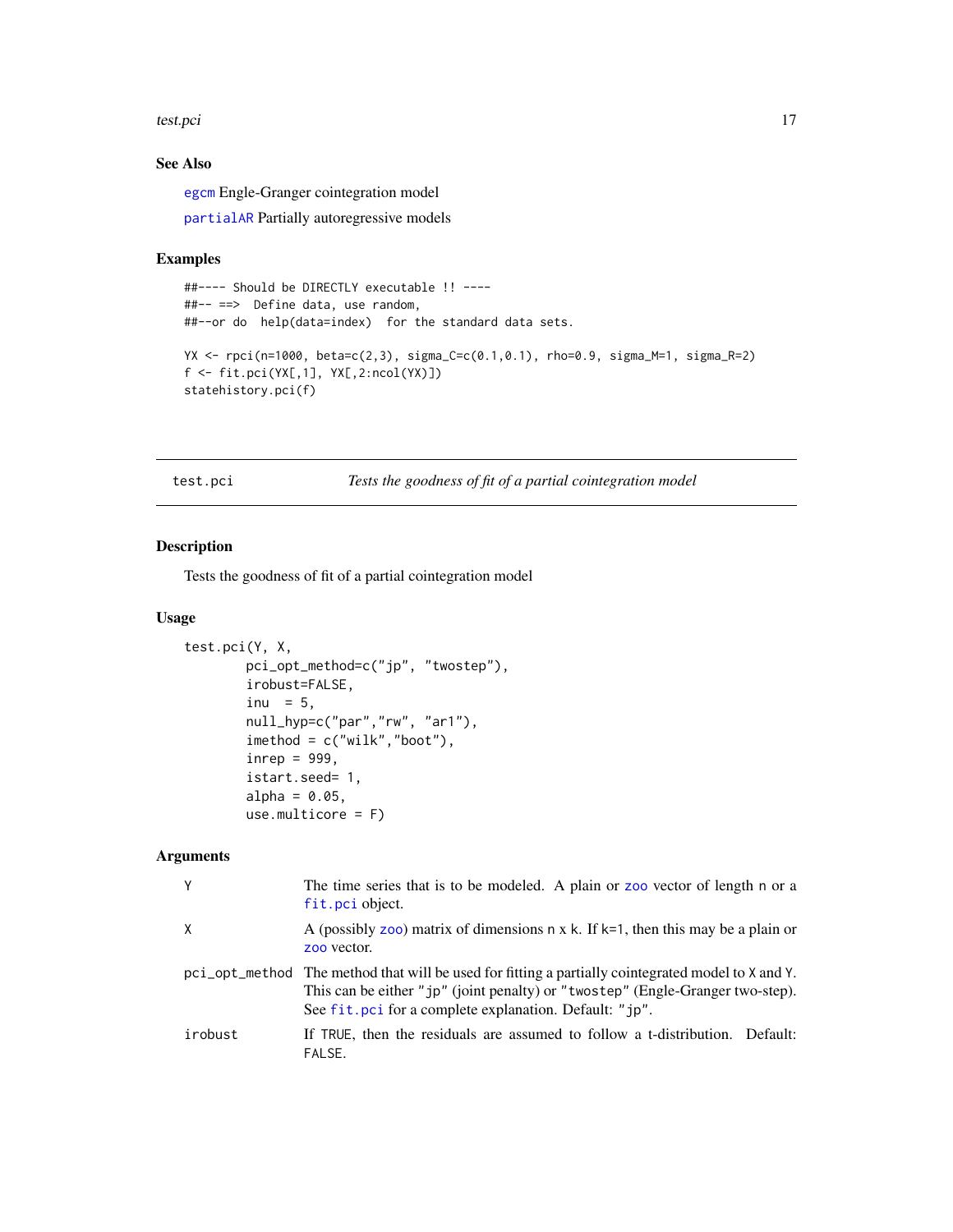#### <span id="page-16-0"></span>test.pci and the state of the state of the state of the state of the state of the state of the state of the state of the state of the state of the state of the state of the state of the state of the state of the state of t

## See Also

[egcm](#page-0-0) Engle-Granger cointegration model

[partialAR](#page-0-0) Partially autoregressive models

## Examples

```
##---- Should be DIRECTLY executable !! ----
##-- ==> Define data, use random,
##--or do help(data=index) for the standard data sets.
YX <- rpci(n=1000, beta=c(2,3), sigma_C=c(0.1,0.1), rho=0.9, sigma_M=1, sigma_R=2)
f <- fit.pci(YX[,1], YX[,2:ncol(YX)])
statehistory.pci(f)
```
<span id="page-16-1"></span>test.pci *Tests the goodness of fit of a partial cointegration model*

## Description

Tests the goodness of fit of a partial cointegration model

## Usage

```
test.pci(Y, X,
       pci_opt_method=c("jp", "twostep"),
       irobust=FALSE,
       inu = 5,null_hyp=c("par","rw", "ar1"),
       imethod = c("wilk","boot"),
       inrep = 999,istart.seed= 1,
       alpha = 0.05,
       use.multicore = F)
```
## Arguments

| Y       | The time series that is to be modeled. A plain or zoo vector of length n or a<br>fit.pci object.                                                                                                                                               |
|---------|------------------------------------------------------------------------------------------------------------------------------------------------------------------------------------------------------------------------------------------------|
| X       | A (possibly zoo) matrix of dimensions $n \times k$ . If $k=1$ , then this may be a plain or<br>zoo vector.                                                                                                                                     |
|         | pci_opt_method The method that will be used for fitting a partially cointegrated model to X and Y.<br>This can be either "jp" (joint penalty) or "twostep" (Engle-Granger two-step).<br>See fit.pci for a complete explanation. Default: "jp". |
| irobust | If TRUE, then the residuals are assumed to follow a t-distribution. Default:<br>FALSE.                                                                                                                                                         |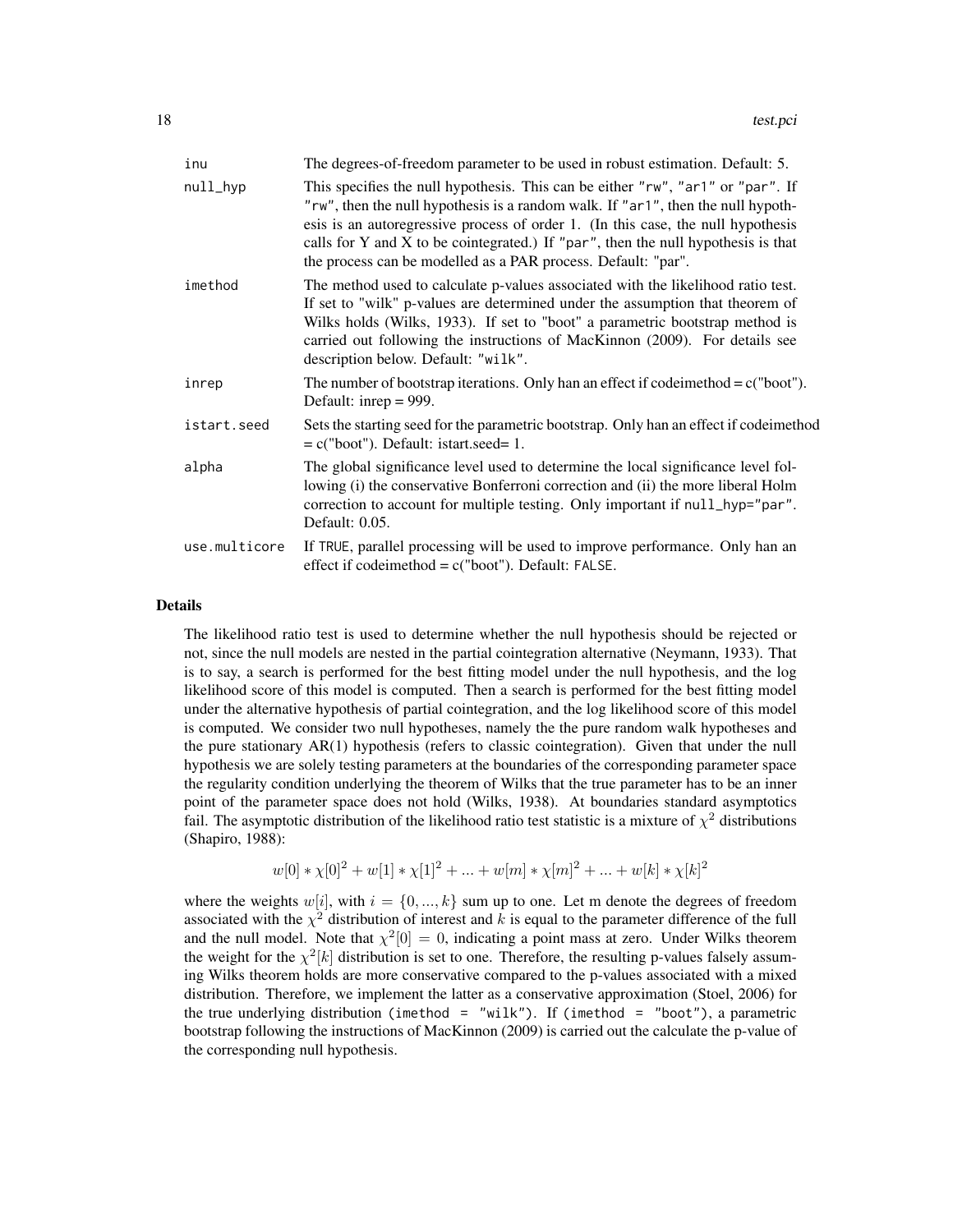| inu           | The degrees-of-freedom parameter to be used in robust estimation. Default: 5.                                                                                                                                                                                                                                                                                                                                 |
|---------------|---------------------------------------------------------------------------------------------------------------------------------------------------------------------------------------------------------------------------------------------------------------------------------------------------------------------------------------------------------------------------------------------------------------|
| null_hyp      | This specifies the null hypothesis. This can be either "rw", "ar1" or "par". If<br>"rw", then the null hypothesis is a random walk. If "ar1", then the null hypoth-<br>esis is an autoregressive process of order 1. (In this case, the null hypothesis<br>calls for Y and X to be cointegrated.) If "par", then the null hypothesis is that<br>the process can be modelled as a PAR process. Default: "par". |
| imethod       | The method used to calculate p-values associated with the likelihood ratio test.<br>If set to "wilk" p-values are determined under the assumption that theorem of<br>Wilks holds (Wilks, 1933). If set to "boot" a parametric bootstrap method is<br>carried out following the instructions of MacKinnon (2009). For details see<br>description below. Default: "wilk".                                       |
| inrep         | The number of bootstrap iterations. Only han an effect if code imethod $=c("boot").$<br>Default: inrep $= 999$ .                                                                                                                                                                                                                                                                                              |
| istart.seed   | Sets the starting seed for the parametric bootstrap. Only han an effect if code imethod<br>$= c("boot").$ Default: istart.seed= 1.                                                                                                                                                                                                                                                                            |
| alpha         | The global significance level used to determine the local significance level fol-<br>lowing (i) the conservative Bonferroni correction and (ii) the more liberal Holm<br>correction to account for multiple testing. Only important if null_hyp="par".<br>Default: 0.05.                                                                                                                                      |
| use.multicore | If TRUE, parallel processing will be used to improve performance. Only han an<br>effect if codeimethod = $c("boot")$ . Default: FALSE.                                                                                                                                                                                                                                                                        |

#### Details

The likelihood ratio test is used to determine whether the null hypothesis should be rejected or not, since the null models are nested in the partial cointegration alternative (Neymann, 1933). That is to say, a search is performed for the best fitting model under the null hypothesis, and the log likelihood score of this model is computed. Then a search is performed for the best fitting model under the alternative hypothesis of partial cointegration, and the log likelihood score of this model is computed. We consider two null hypotheses, namely the the pure random walk hypotheses and the pure stationary AR(1) hypothesis (refers to classic cointegration). Given that under the null hypothesis we are solely testing parameters at the boundaries of the corresponding parameter space the regularity condition underlying the theorem of Wilks that the true parameter has to be an inner point of the parameter space does not hold (Wilks, 1938). At boundaries standard asymptotics fail. The asymptotic distribution of the likelihood ratio test statistic is a mixture of  $\chi^2$  distributions (Shapiro, 1988):

$$
w[0] * \chi[0]^2 + w[1] * \chi[1]^2 + \dots + w[m] * \chi[m]^2 + \dots + w[k] * \chi[k]^2
$$

where the weights  $w[i]$ , with  $i = \{0, ..., k\}$  sum up to one. Let m denote the degrees of freedom associated with the  $\chi^2$  distribution of interest and k is equal to the parameter difference of the full and the null model. Note that  $\chi^2[0] = 0$ , indicating a point mass at zero. Under Wilks theorem the weight for the  $\chi^2[k]$  distribution is set to one. Therefore, the resulting p-values falsely assuming Wilks theorem holds are more conservative compared to the p-values associated with a mixed distribution. Therefore, we implement the latter as a conservative approximation (Stoel, 2006) for the true underlying distribution (imethod = "wilk"). If (imethod = "boot"), a parametric bootstrap following the instructions of MacKinnon (2009) is carried out the calculate the p-value of the corresponding null hypothesis.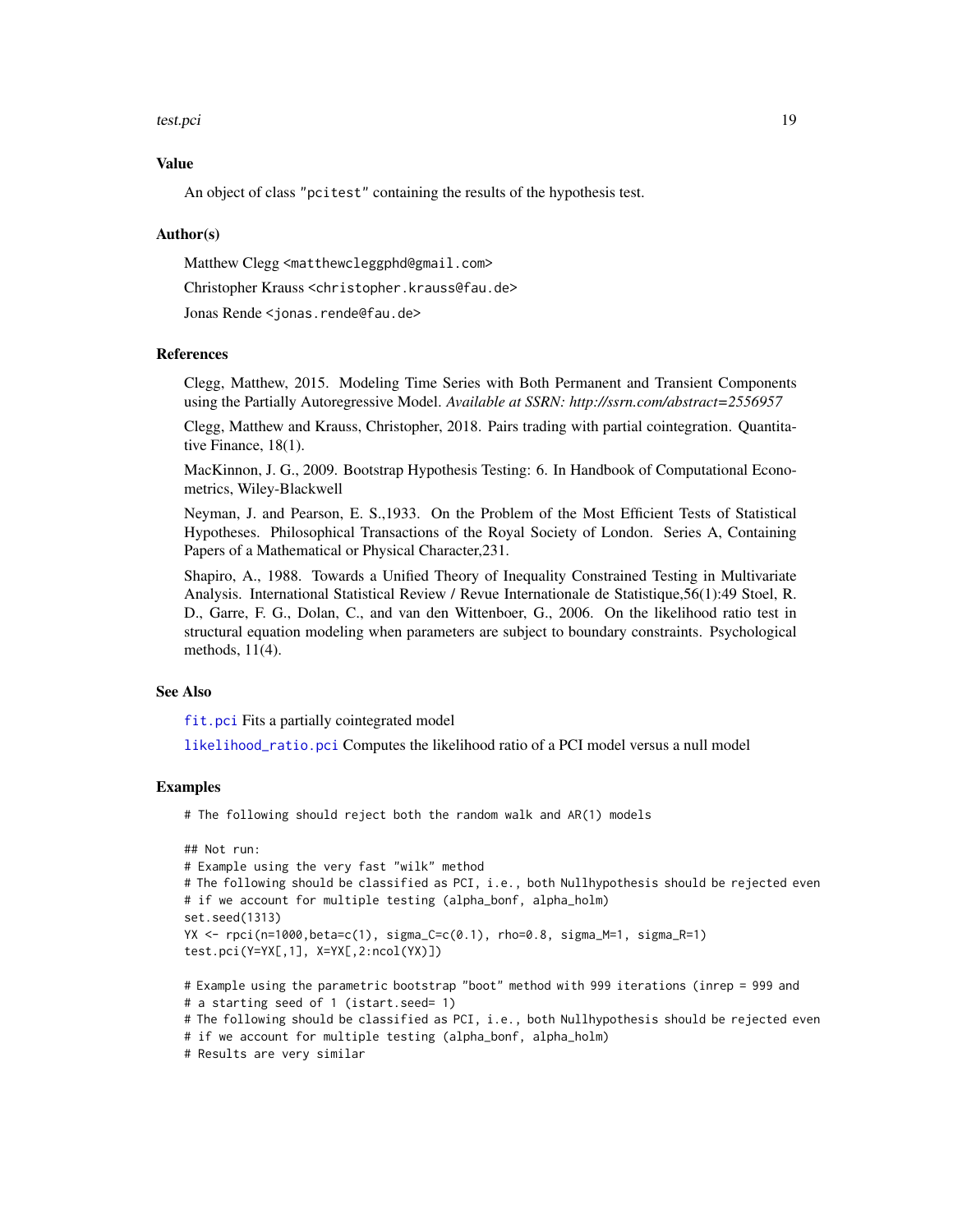#### <span id="page-18-0"></span>test.pci and the state of the state of the state of the state of the state of the state of the state of the state of the state of the state of the state of the state of the state of the state of the state of the state of t

## Value

An object of class "pcitest" containing the results of the hypothesis test.

#### Author(s)

Matthew Clegg <matthewcleggphd@gmail.com>

Christopher Krauss <christopher.krauss@fau.de>

Jonas Rende <jonas.rende@fau.de>

## References

Clegg, Matthew, 2015. Modeling Time Series with Both Permanent and Transient Components using the Partially Autoregressive Model. *Available at SSRN: http://ssrn.com/abstract=2556957*

Clegg, Matthew and Krauss, Christopher, 2018. Pairs trading with partial cointegration. Quantitative Finance, 18(1).

MacKinnon, J. G., 2009. Bootstrap Hypothesis Testing: 6. In Handbook of Computational Econometrics, Wiley-Blackwell

Neyman, J. and Pearson, E. S.,1933. On the Problem of the Most Efficient Tests of Statistical Hypotheses. Philosophical Transactions of the Royal Society of London. Series A, Containing Papers of a Mathematical or Physical Character,231.

Shapiro, A., 1988. Towards a Unified Theory of Inequality Constrained Testing in Multivariate Analysis. International Statistical Review / Revue Internationale de Statistique,56(1):49 Stoel, R. D., Garre, F. G., Dolan, C., and van den Wittenboer, G., 2006. On the likelihood ratio test in structural equation modeling when parameters are subject to boundary constraints. Psychological methods, 11(4).

## See Also

[fit.pci](#page-3-1) Fits a partially cointegrated model

[likelihood\\_ratio.pci](#page-9-1) Computes the likelihood ratio of a PCI model versus a null model

#### Examples

# The following should reject both the random walk and AR(1) models

```
## Not run:
# Example using the very fast "wilk" method
# The following should be classified as PCI, i.e., both Nullhypothesis should be rejected even
# if we account for multiple testing (alpha_bonf, alpha_holm)
set.seed(1313)
YX <- rpci(n=1000,beta=c(1), sigma_C=c(0.1), rho=0.8, sigma_M=1, sigma_R=1)
test.pci(Y=YX[,1], X=YX[,2:ncol(YX)])
# Example using the parametric bootstrap "boot" method with 999 iterations (inrep = 999 and
```
# a starting seed of 1 (istart.seed= 1)

# The following should be classified as PCI, i.e., both Nullhypothesis should be rejected even

```
# if we account for multiple testing (alpha_bonf, alpha_holm)
```

```
# Results are very similar
```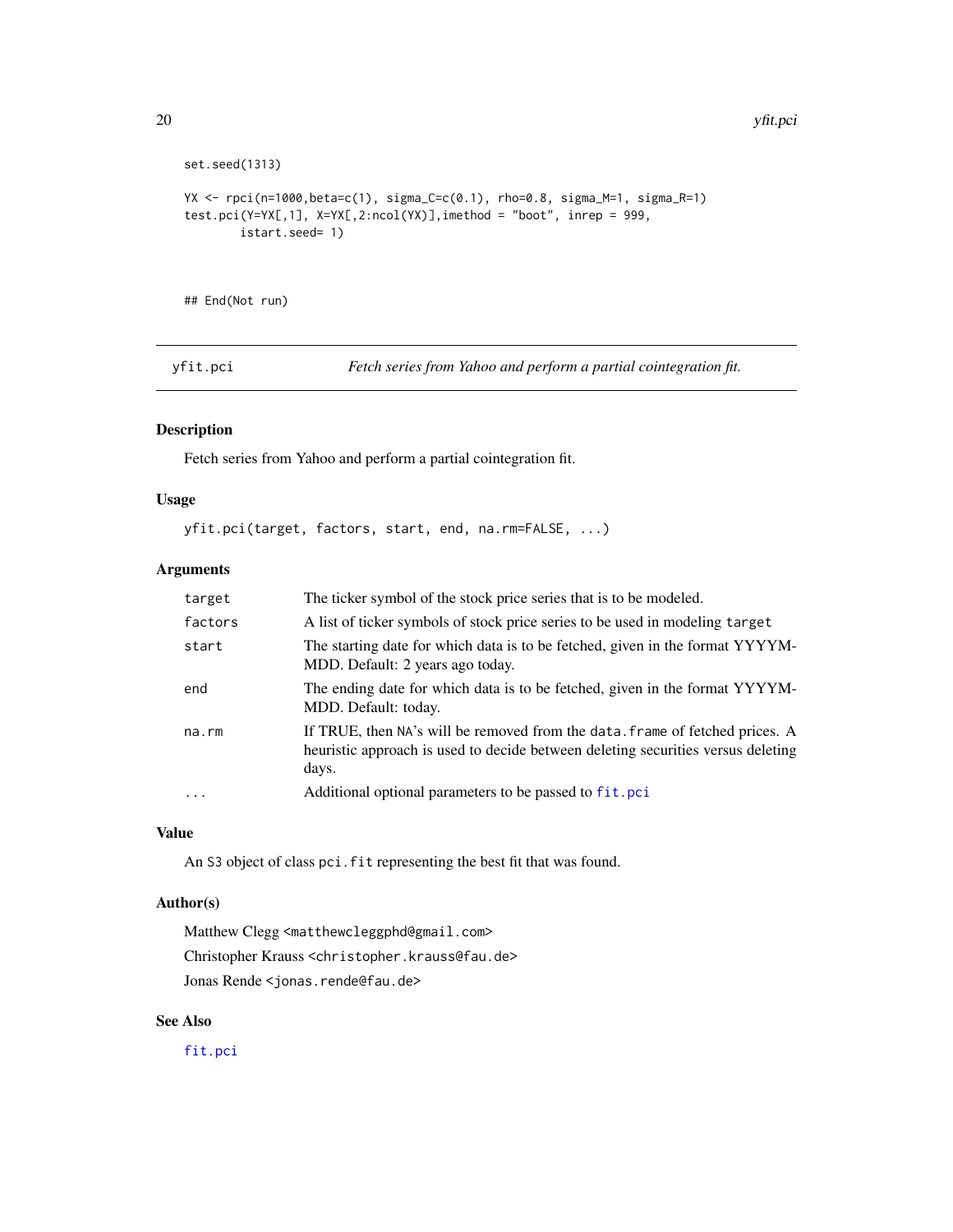```
set.seed(1313)
YX <- rpci(n=1000,beta=c(1), sigma_C=c(0.1), rho=0.8, sigma_M=1, sigma_R=1)
test.pci(Y=YX[,1], X=YX[,2:ncol(YX)],imethod = "boot", inrep = 999,
       istart.seed= 1)
```
## End(Not run)

<span id="page-19-1"></span>yfit.pci *Fetch series from Yahoo and perform a partial cointegration fit.*

## Description

Fetch series from Yahoo and perform a partial cointegration fit.

## Usage

```
yfit.pci(target, factors, start, end, na.rm=FALSE, ...)
```
## Arguments

| target      | The ticker symbol of the stock price series that is to be modeled.                                                                                                        |
|-------------|---------------------------------------------------------------------------------------------------------------------------------------------------------------------------|
| factors     | A list of ticker symbols of stock price series to be used in modeling target                                                                                              |
| start       | The starting date for which data is to be fetched, given in the format YYYYM-<br>MDD. Default: 2 years ago today.                                                         |
| end         | The ending date for which data is to be fetched, given in the format YYYYM-<br>MDD. Default: today.                                                                       |
| $na$ . $rm$ | If TRUE, then NA's will be removed from the data. frame of fetched prices. A<br>heuristic approach is used to decide between deleting securities versus deleting<br>days. |
| .           | Additional optional parameters to be passed to fit.pci                                                                                                                    |

## Value

An S3 object of class pci.fit representing the best fit that was found.

## Author(s)

Matthew Clegg <matthewcleggphd@gmail.com> Christopher Krauss <christopher.krauss@fau.de> Jonas Rende <jonas.rende@fau.de>

## See Also

[fit.pci](#page-3-1)

<span id="page-19-0"></span>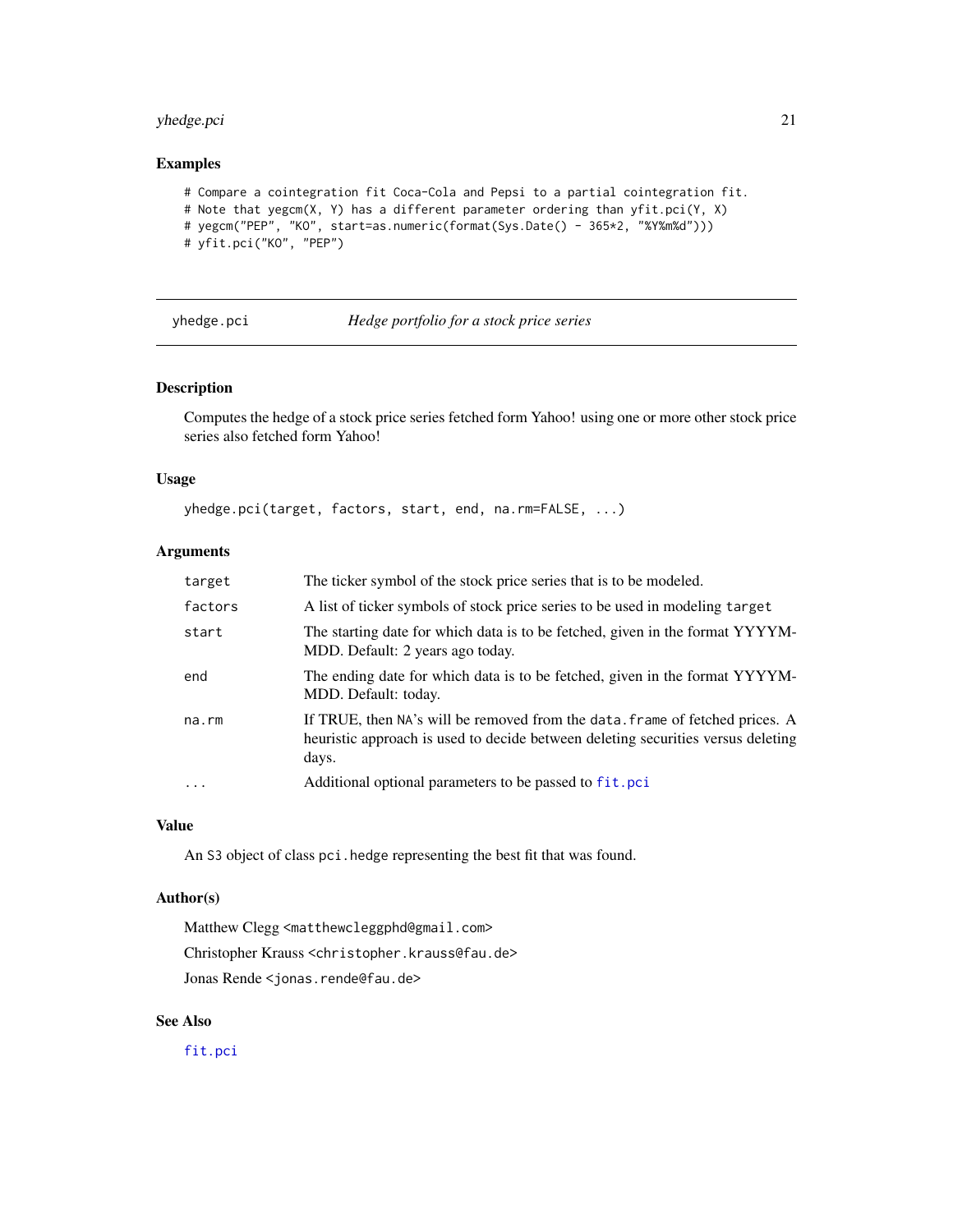## <span id="page-20-0"></span>yhedge.pci 21

#### Examples

```
# Compare a cointegration fit Coca-Cola and Pepsi to a partial cointegration fit.
# Note that yegcm(X, Y) has a different parameter ordering than yfit.pci(Y, X)
# yegcm("PEP", "KO", start=as.numeric(format(Sys.Date() - 365*2, "%Y%m%d")))
# yfit.pci("KO", "PEP")
```
<span id="page-20-1"></span>

## yhedge.pci *Hedge portfolio for a stock price series*

## Description

Computes the hedge of a stock price series fetched form Yahoo! using one or more other stock price series also fetched form Yahoo!

## Usage

yhedge.pci(target, factors, start, end, na.rm=FALSE, ...)

## Arguments

| target  | The ticker symbol of the stock price series that is to be modeled.                                                                                                        |
|---------|---------------------------------------------------------------------------------------------------------------------------------------------------------------------------|
| factors | A list of ticker symbols of stock price series to be used in modeling target                                                                                              |
| start   | The starting date for which data is to be fetched, given in the format YYYYM-<br>MDD. Default: 2 years ago today.                                                         |
| end     | The ending date for which data is to be fetched, given in the format YYYYM-<br>MDD. Default: today.                                                                       |
| na.rm   | If TRUE, then NA's will be removed from the data. frame of fetched prices. A<br>heuristic approach is used to decide between deleting securities versus deleting<br>days. |
| $\cdot$ | Additional optional parameters to be passed to fit.pci                                                                                                                    |

#### Value

An S3 object of class pci.hedge representing the best fit that was found.

## Author(s)

Matthew Clegg <matthewcleggphd@gmail.com> Christopher Krauss <christopher.krauss@fau.de> Jonas Rende <jonas.rende@fau.de>

## See Also

[fit.pci](#page-3-1)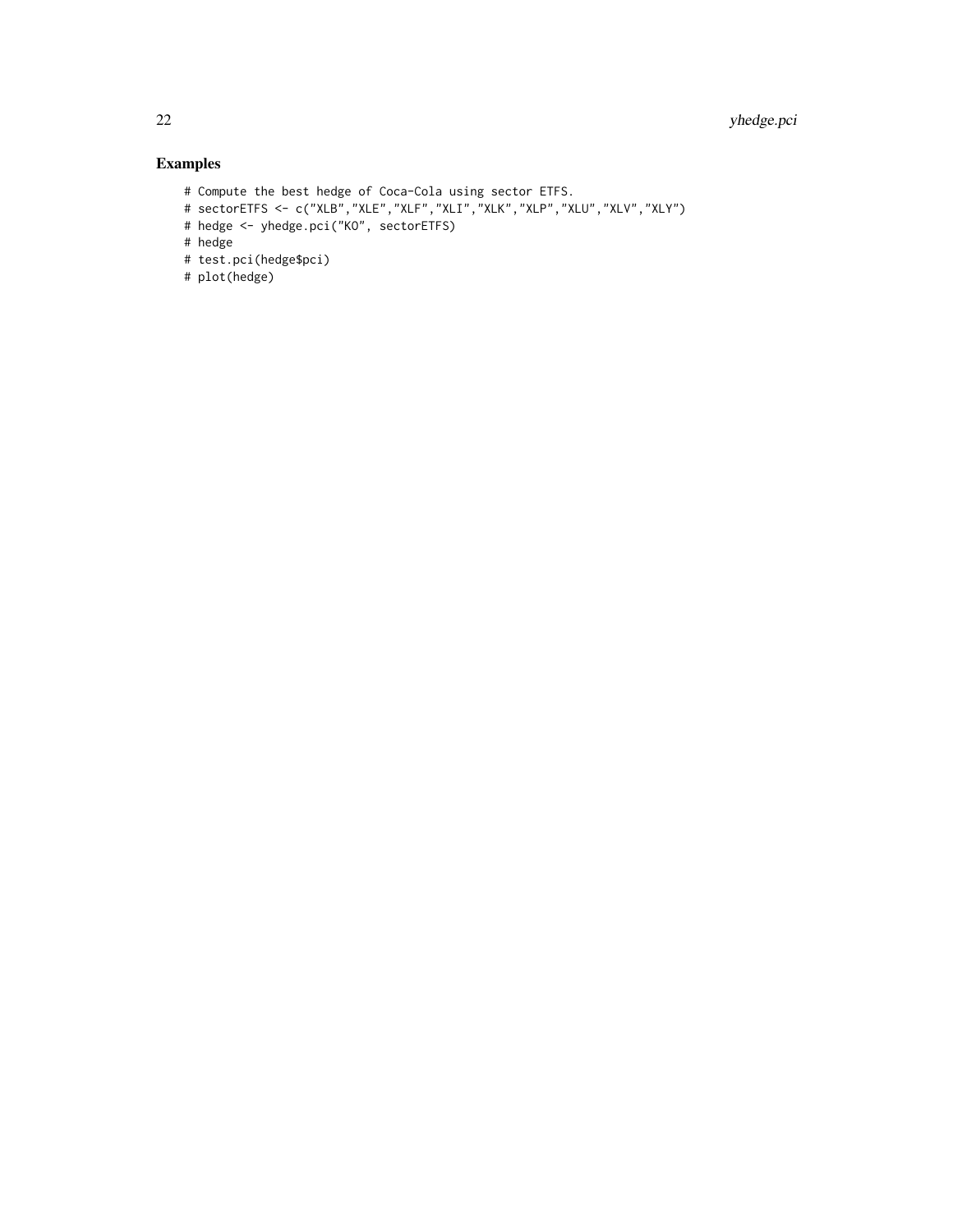## Examples

- # Compute the best hedge of Coca-Cola using sector ETFS.
- # sectorETFS <- c("XLB","XLE","XLF","XLI","XLK","XLP","XLU","XLV","XLY")
- # hedge <- yhedge.pci("KO", sectorETFS)
- # hedge
- # test.pci(hedge\$pci)
- # plot(hedge)